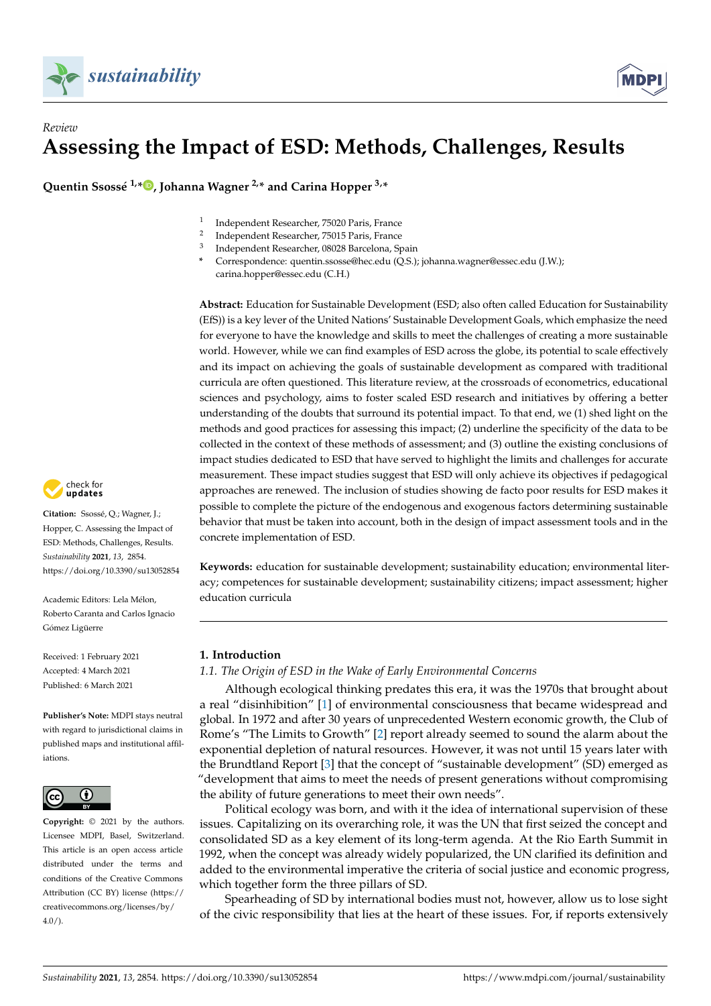



# *Review* **Assessing the Impact of ESD: Methods, Challenges, Results**

**Quentin Ssossé 1,\* [,](https://orcid.org/0000-0002-7486-2848) Johanna Wagner 2,\* and Carina Hopper 3,\***

- 1 Independent Researcher, 75020 Paris, France
- $\overline{2}$ Independent Researcher, 75015 Paris, France
- 3 Independent Researcher, 08028 Barcelona, Spain
- **\*** Correspondence: quentin.ssosse@hec.edu (Q.S.); johanna.wagner@essec.edu (J.W.); carina.hopper@essec.edu (C.H.)

**Abstract:** Education for Sustainable Development (ESD; also often called Education for Sustainability (EfS)) is a key lever of the United Nations' Sustainable Development Goals, which emphasize the need for everyone to have the knowledge and skills to meet the challenges of creating a more sustainable world. However, while we can find examples of ESD across the globe, its potential to scale effectively and its impact on achieving the goals of sustainable development as compared with traditional curricula are often questioned. This literature review, at the crossroads of econometrics, educational sciences and psychology, aims to foster scaled ESD research and initiatives by offering a better understanding of the doubts that surround its potential impact. To that end, we (1) shed light on the methods and good practices for assessing this impact; (2) underline the specificity of the data to be collected in the context of these methods of assessment; and (3) outline the existing conclusions of impact studies dedicated to ESD that have served to highlight the limits and challenges for accurate measurement. These impact studies suggest that ESD will only achieve its objectives if pedagogical approaches are renewed. The inclusion of studies showing de facto poor results for ESD makes it possible to complete the picture of the endogenous and exogenous factors determining sustainable behavior that must be taken into account, both in the design of impact assessment tools and in the concrete implementation of ESD.

**Keywords:** education for sustainable development; sustainability education; environmental literacy; competences for sustainable development; sustainability citizens; impact assessment; higher education curricula

### **1. Introduction**

# *1.1. The Origin of ESD in the Wake of Early Environmental Concerns*

Although ecological thinking predates this era, it was the 1970s that brought about a real "disinhibition" [\[1\]](#page-21-0) of environmental consciousness that became widespread and global. In 1972 and after 30 years of unprecedented Western economic growth, the Club of Rome's "The Limits to Growth" [\[2\]](#page-21-1) report already seemed to sound the alarm about the exponential depletion of natural resources. However, it was not until 15 years later with the Brundtland Report [\[3\]](#page-21-2) that the concept of "sustainable development" (SD) emerged as "development that aims to meet the needs of present generations without compromising the ability of future generations to meet their own needs".

Political ecology was born, and with it the idea of international supervision of these issues. Capitalizing on its overarching role, it was the UN that first seized the concept and consolidated SD as a key element of its long-term agenda. At the Rio Earth Summit in 1992, when the concept was already widely popularized, the UN clarified its definition and added to the environmental imperative the criteria of social justice and economic progress, which together form the three pillars of SD.

Spearheading of SD by international bodies must not, however, allow us to lose sight of the civic responsibility that lies at the heart of these issues. For, if reports extensively



**Citation:** Ssossé, Q.; Wagner, J.; Hopper, C. Assessing the Impact of ESD: Methods, Challenges, Results. *Sustainability* **2021**, *13*, 2854. <https://doi.org/10.3390/su13052854>

Academic Editors: Lela Mélon, Roberto Caranta and Carlos Ignacio Gómez Ligüerre

Received: 1 February 2021 Accepted: 4 March 2021 Published: 6 March 2021

**Publisher's Note:** MDPI stays neutral with regard to jurisdictional claims in published maps and institutional affiliations.



**Copyright:** © 2021 by the authors. Licensee MDPI, Basel, Switzerland. This article is an open access article distributed under the terms and conditions of the Creative Commons Attribution (CC BY) license (https:/[/](https://creativecommons.org/licenses/by/4.0/) [creativecommons.org/licenses/by/](https://creativecommons.org/licenses/by/4.0/) 4.0/).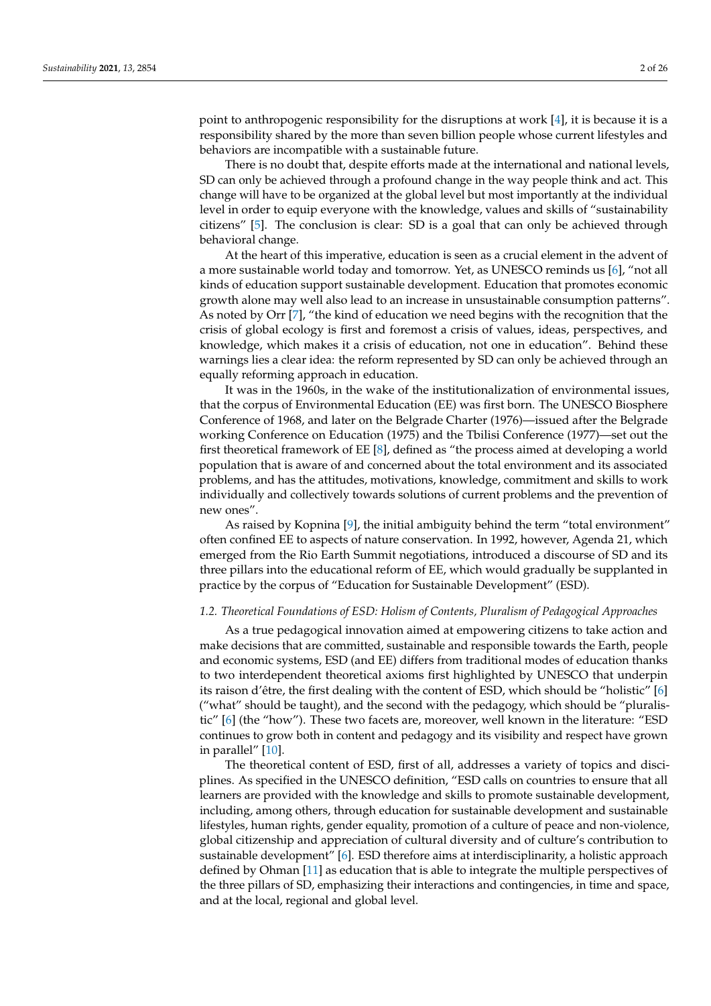point to anthropogenic responsibility for the disruptions at work [\[4\]](#page-21-3), it is because it is a responsibility shared by the more than seven billion people whose current lifestyles and behaviors are incompatible with a sustainable future.

There is no doubt that, despite efforts made at the international and national levels, SD can only be achieved through a profound change in the way people think and act. This change will have to be organized at the global level but most importantly at the individual level in order to equip everyone with the knowledge, values and skills of "sustainability citizens" [\[5\]](#page-21-4). The conclusion is clear: SD is a goal that can only be achieved through behavioral change.

At the heart of this imperative, education is seen as a crucial element in the advent of a more sustainable world today and tomorrow. Yet, as UNESCO reminds us [\[6\]](#page-21-5), "not all kinds of education support sustainable development. Education that promotes economic growth alone may well also lead to an increase in unsustainable consumption patterns". As noted by Orr [\[7\]](#page-21-6), "the kind of education we need begins with the recognition that the crisis of global ecology is first and foremost a crisis of values, ideas, perspectives, and knowledge, which makes it a crisis of education, not one in education". Behind these warnings lies a clear idea: the reform represented by SD can only be achieved through an equally reforming approach in education.

It was in the 1960s, in the wake of the institutionalization of environmental issues, that the corpus of Environmental Education (EE) was first born. The UNESCO Biosphere Conference of 1968, and later on the Belgrade Charter (1976)—issued after the Belgrade working Conference on Education (1975) and the Tbilisi Conference (1977)—set out the first theoretical framework of EE [\[8\]](#page-21-7), defined as "the process aimed at developing a world population that is aware of and concerned about the total environment and its associated problems, and has the attitudes, motivations, knowledge, commitment and skills to work individually and collectively towards solutions of current problems and the prevention of new ones".

As raised by Kopnina [\[9\]](#page-21-8), the initial ambiguity behind the term "total environment" often confined EE to aspects of nature conservation. In 1992, however, Agenda 21, which emerged from the Rio Earth Summit negotiations, introduced a discourse of SD and its three pillars into the educational reform of EE, which would gradually be supplanted in practice by the corpus of "Education for Sustainable Development" (ESD).

## *1.2. Theoretical Foundations of ESD: Holism of Contents, Pluralism of Pedagogical Approaches*

As a true pedagogical innovation aimed at empowering citizens to take action and make decisions that are committed, sustainable and responsible towards the Earth, people and economic systems, ESD (and EE) differs from traditional modes of education thanks to two interdependent theoretical axioms first highlighted by UNESCO that underpin its raison d'être, the first dealing with the content of ESD, which should be "holistic" [\[6\]](#page-21-5) ("what" should be taught), and the second with the pedagogy, which should be "pluralistic" [\[6\]](#page-21-5) (the "how"). These two facets are, moreover, well known in the literature: "ESD continues to grow both in content and pedagogy and its visibility and respect have grown in parallel" [\[10\]](#page-21-9).

The theoretical content of ESD, first of all, addresses a variety of topics and disciplines. As specified in the UNESCO definition, "ESD calls on countries to ensure that all learners are provided with the knowledge and skills to promote sustainable development, including, among others, through education for sustainable development and sustainable lifestyles, human rights, gender equality, promotion of a culture of peace and non-violence, global citizenship and appreciation of cultural diversity and of culture's contribution to sustainable development" [\[6\]](#page-21-5). ESD therefore aims at interdisciplinarity, a holistic approach defined by Ohman [\[11\]](#page-21-10) as education that is able to integrate the multiple perspectives of the three pillars of SD, emphasizing their interactions and contingencies, in time and space, and at the local, regional and global level.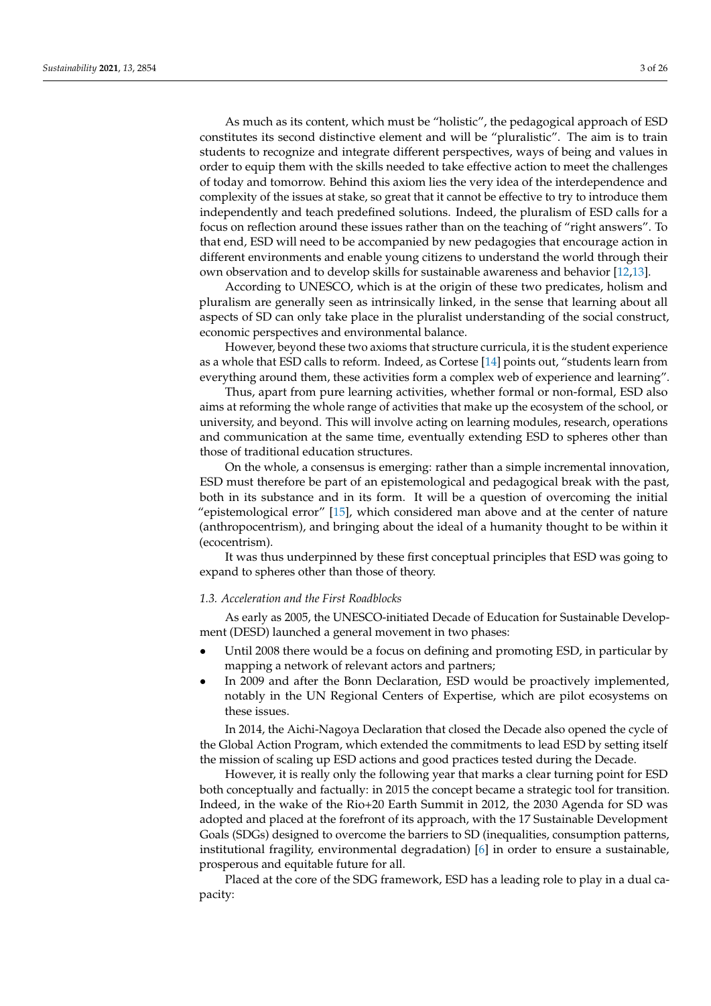As much as its content, which must be "holistic", the pedagogical approach of ESD constitutes its second distinctive element and will be "pluralistic". The aim is to train students to recognize and integrate different perspectives, ways of being and values in order to equip them with the skills needed to take effective action to meet the challenges of today and tomorrow. Behind this axiom lies the very idea of the interdependence and complexity of the issues at stake, so great that it cannot be effective to try to introduce them independently and teach predefined solutions. Indeed, the pluralism of ESD calls for a focus on reflection around these issues rather than on the teaching of "right answers". To that end, ESD will need to be accompanied by new pedagogies that encourage action in different environments and enable young citizens to understand the world through their own observation and to develop skills for sustainable awareness and behavior [\[12,](#page-21-11)[13\]](#page-21-12).

According to UNESCO, which is at the origin of these two predicates, holism and pluralism are generally seen as intrinsically linked, in the sense that learning about all aspects of SD can only take place in the pluralist understanding of the social construct, economic perspectives and environmental balance.

However, beyond these two axioms that structure curricula, it is the student experience as a whole that ESD calls to reform. Indeed, as Cortese [\[14\]](#page-21-13) points out, "students learn from everything around them, these activities form a complex web of experience and learning".

Thus, apart from pure learning activities, whether formal or non-formal, ESD also aims at reforming the whole range of activities that make up the ecosystem of the school, or university, and beyond. This will involve acting on learning modules, research, operations and communication at the same time, eventually extending ESD to spheres other than those of traditional education structures.

On the whole, a consensus is emerging: rather than a simple incremental innovation, ESD must therefore be part of an epistemological and pedagogical break with the past, both in its substance and in its form. It will be a question of overcoming the initial "epistemological error" [\[15\]](#page-21-14), which considered man above and at the center of nature (anthropocentrism), and bringing about the ideal of a humanity thought to be within it (ecocentrism).

It was thus underpinned by these first conceptual principles that ESD was going to expand to spheres other than those of theory.

#### *1.3. Acceleration and the First Roadblocks*

As early as 2005, the UNESCO-initiated Decade of Education for Sustainable Development (DESD) launched a general movement in two phases:

- Until 2008 there would be a focus on defining and promoting ESD, in particular by mapping a network of relevant actors and partners;
- In 2009 and after the Bonn Declaration, ESD would be proactively implemented, notably in the UN Regional Centers of Expertise, which are pilot ecosystems on these issues.

In 2014, the Aichi-Nagoya Declaration that closed the Decade also opened the cycle of the Global Action Program, which extended the commitments to lead ESD by setting itself the mission of scaling up ESD actions and good practices tested during the Decade.

However, it is really only the following year that marks a clear turning point for ESD both conceptually and factually: in 2015 the concept became a strategic tool for transition. Indeed, in the wake of the Rio+20 Earth Summit in 2012, the 2030 Agenda for SD was adopted and placed at the forefront of its approach, with the 17 Sustainable Development Goals (SDGs) designed to overcome the barriers to SD (inequalities, consumption patterns, institutional fragility, environmental degradation) [\[6\]](#page-21-5) in order to ensure a sustainable, prosperous and equitable future for all.

Placed at the core of the SDG framework, ESD has a leading role to play in a dual capacity: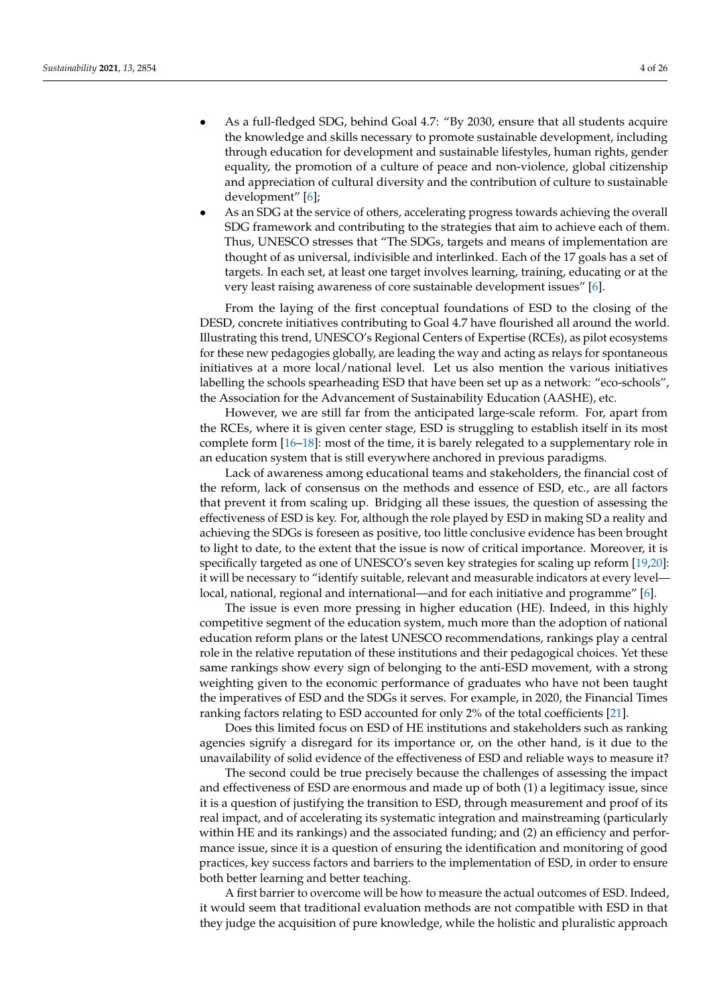- As a full-fledged SDG, behind Goal 4.7: "By 2030, ensure that all students acquire the knowledge and skills necessary to promote sustainable development, including through education for development and sustainable lifestyles, human rights, gender equality, the promotion of a culture of peace and non-violence, global citizenship and appreciation of cultural diversity and the contribution of culture to sustainable development" [\[6\]](#page-21-5);
- As an SDG at the service of others, accelerating progress towards achieving the overall SDG framework and contributing to the strategies that aim to achieve each of them. Thus, UNESCO stresses that "The SDGs, targets and means of implementation are thought of as universal, indivisible and interlinked. Each of the 17 goals has a set of targets. In each set, at least one target involves learning, training, educating or at the very least raising awareness of core sustainable development issues" [\[6\]](#page-21-5).

From the laying of the first conceptual foundations of ESD to the closing of the DESD, concrete initiatives contributing to Goal 4.7 have flourished all around the world. Illustrating this trend, UNESCO's Regional Centers of Expertise (RCEs), as pilot ecosystems for these new pedagogies globally, are leading the way and acting as relays for spontaneous initiatives at a more local/national level. Let us also mention the various initiatives labelling the schools spearheading ESD that have been set up as a network: "eco-schools", the Association for the Advancement of Sustainability Education (AASHE), etc.

However, we are still far from the anticipated large-scale reform. For, apart from the RCEs, where it is given center stage, ESD is struggling to establish itself in its most complete form [\[16](#page-21-15)[–18\]](#page-22-0): most of the time, it is barely relegated to a supplementary role in an education system that is still everywhere anchored in previous paradigms.

Lack of awareness among educational teams and stakeholders, the financial cost of the reform, lack of consensus on the methods and essence of ESD, etc., are all factors that prevent it from scaling up. Bridging all these issues, the question of assessing the effectiveness of ESD is key. For, although the role played by ESD in making SD a reality and achieving the SDGs is foreseen as positive, too little conclusive evidence has been brought to light to date, to the extent that the issue is now of critical importance. Moreover, it is specifically targeted as one of UNESCO's seven key strategies for scaling up reform [\[19](#page-22-1)[,20\]](#page-22-2): it will be necessary to "identify suitable, relevant and measurable indicators at every level local, national, regional and international—and for each initiative and programme" [\[6\]](#page-21-5).

The issue is even more pressing in higher education (HE). Indeed, in this highly competitive segment of the education system, much more than the adoption of national education reform plans or the latest UNESCO recommendations, rankings play a central role in the relative reputation of these institutions and their pedagogical choices. Yet these same rankings show every sign of belonging to the anti-ESD movement, with a strong weighting given to the economic performance of graduates who have not been taught the imperatives of ESD and the SDGs it serves. For example, in 2020, the Financial Times ranking factors relating to ESD accounted for only 2% of the total coefficients [\[21\]](#page-22-3).

Does this limited focus on ESD of HE institutions and stakeholders such as ranking agencies signify a disregard for its importance or, on the other hand, is it due to the unavailability of solid evidence of the effectiveness of ESD and reliable ways to measure it?

The second could be true precisely because the challenges of assessing the impact and effectiveness of ESD are enormous and made up of both (1) a legitimacy issue, since it is a question of justifying the transition to ESD, through measurement and proof of its real impact, and of accelerating its systematic integration and mainstreaming (particularly within HE and its rankings) and the associated funding; and (2) an efficiency and performance issue, since it is a question of ensuring the identification and monitoring of good practices, key success factors and barriers to the implementation of ESD, in order to ensure both better learning and better teaching.

A first barrier to overcome will be how to measure the actual outcomes of ESD. Indeed, it would seem that traditional evaluation methods are not compatible with ESD in that they judge the acquisition of pure knowledge, while the holistic and pluralistic approach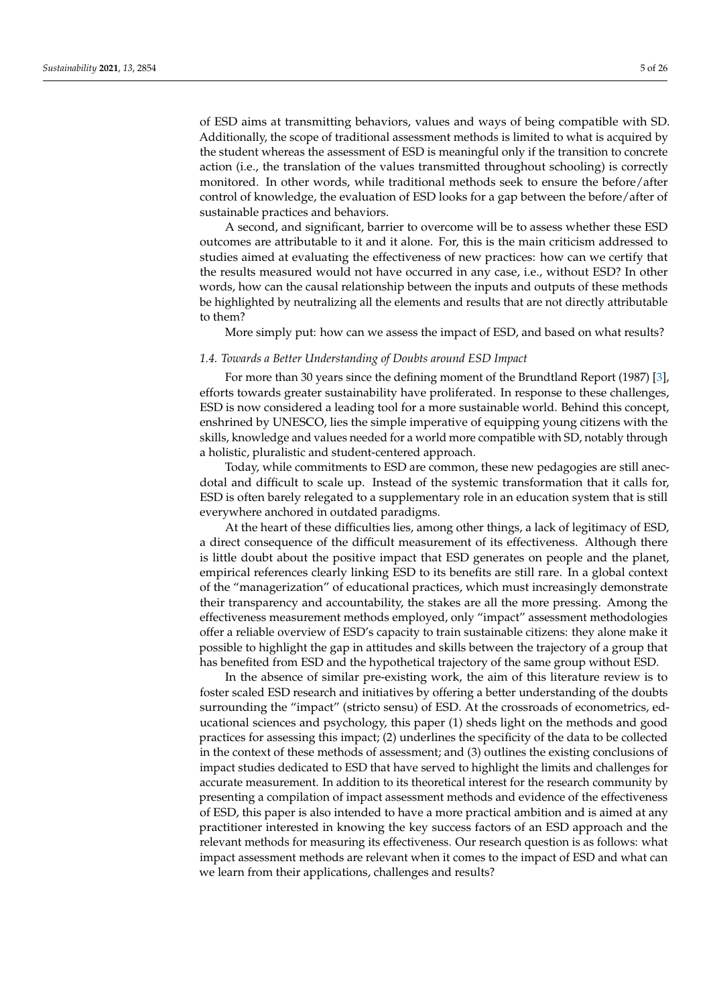of ESD aims at transmitting behaviors, values and ways of being compatible with SD. Additionally, the scope of traditional assessment methods is limited to what is acquired by the student whereas the assessment of ESD is meaningful only if the transition to concrete action (i.e., the translation of the values transmitted throughout schooling) is correctly monitored. In other words, while traditional methods seek to ensure the before/after control of knowledge, the evaluation of ESD looks for a gap between the before/after of sustainable practices and behaviors.

A second, and significant, barrier to overcome will be to assess whether these ESD outcomes are attributable to it and it alone. For, this is the main criticism addressed to studies aimed at evaluating the effectiveness of new practices: how can we certify that the results measured would not have occurred in any case, i.e., without ESD? In other words, how can the causal relationship between the inputs and outputs of these methods be highlighted by neutralizing all the elements and results that are not directly attributable to them?

More simply put: how can we assess the impact of ESD, and based on what results?

#### *1.4. Towards a Better Understanding of Doubts around ESD Impact*

For more than 30 years since the defining moment of the Brundtland Report (1987) [\[3\]](#page-21-2), efforts towards greater sustainability have proliferated. In response to these challenges, ESD is now considered a leading tool for a more sustainable world. Behind this concept, enshrined by UNESCO, lies the simple imperative of equipping young citizens with the skills, knowledge and values needed for a world more compatible with SD, notably through a holistic, pluralistic and student-centered approach.

Today, while commitments to ESD are common, these new pedagogies are still anecdotal and difficult to scale up. Instead of the systemic transformation that it calls for, ESD is often barely relegated to a supplementary role in an education system that is still everywhere anchored in outdated paradigms.

At the heart of these difficulties lies, among other things, a lack of legitimacy of ESD, a direct consequence of the difficult measurement of its effectiveness. Although there is little doubt about the positive impact that ESD generates on people and the planet, empirical references clearly linking ESD to its benefits are still rare. In a global context of the "managerization" of educational practices, which must increasingly demonstrate their transparency and accountability, the stakes are all the more pressing. Among the effectiveness measurement methods employed, only "impact" assessment methodologies offer a reliable overview of ESD's capacity to train sustainable citizens: they alone make it possible to highlight the gap in attitudes and skills between the trajectory of a group that has benefited from ESD and the hypothetical trajectory of the same group without ESD.

In the absence of similar pre-existing work, the aim of this literature review is to foster scaled ESD research and initiatives by offering a better understanding of the doubts surrounding the "impact" (stricto sensu) of ESD. At the crossroads of econometrics, educational sciences and psychology, this paper (1) sheds light on the methods and good practices for assessing this impact; (2) underlines the specificity of the data to be collected in the context of these methods of assessment; and (3) outlines the existing conclusions of impact studies dedicated to ESD that have served to highlight the limits and challenges for accurate measurement. In addition to its theoretical interest for the research community by presenting a compilation of impact assessment methods and evidence of the effectiveness of ESD, this paper is also intended to have a more practical ambition and is aimed at any practitioner interested in knowing the key success factors of an ESD approach and the relevant methods for measuring its effectiveness. Our research question is as follows: what impact assessment methods are relevant when it comes to the impact of ESD and what can we learn from their applications, challenges and results?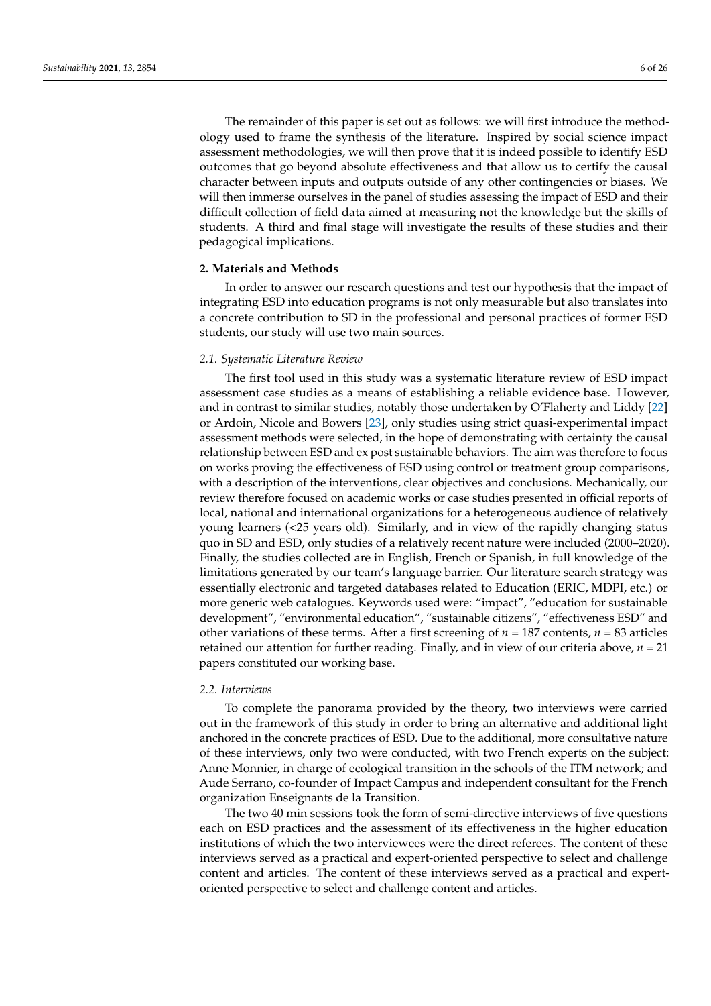The remainder of this paper is set out as follows: we will first introduce the methodology used to frame the synthesis of the literature. Inspired by social science impact assessment methodologies, we will then prove that it is indeed possible to identify ESD outcomes that go beyond absolute effectiveness and that allow us to certify the causal character between inputs and outputs outside of any other contingencies or biases. We will then immerse ourselves in the panel of studies assessing the impact of ESD and their difficult collection of field data aimed at measuring not the knowledge but the skills of students. A third and final stage will investigate the results of these studies and their pedagogical implications.

# **2. Materials and Methods**

In order to answer our research questions and test our hypothesis that the impact of integrating ESD into education programs is not only measurable but also translates into a concrete contribution to SD in the professional and personal practices of former ESD students, our study will use two main sources.

### *2.1. Systematic Literature Review*

The first tool used in this study was a systematic literature review of ESD impact assessment case studies as a means of establishing a reliable evidence base. However, and in contrast to similar studies, notably those undertaken by O'Flaherty and Liddy [\[22\]](#page-22-4) or Ardoin, Nicole and Bowers [\[23\]](#page-22-5), only studies using strict quasi-experimental impact assessment methods were selected, in the hope of demonstrating with certainty the causal relationship between ESD and ex post sustainable behaviors. The aim was therefore to focus on works proving the effectiveness of ESD using control or treatment group comparisons, with a description of the interventions, clear objectives and conclusions. Mechanically, our review therefore focused on academic works or case studies presented in official reports of local, national and international organizations for a heterogeneous audience of relatively young learners (<25 years old). Similarly, and in view of the rapidly changing status quo in SD and ESD, only studies of a relatively recent nature were included (2000–2020). Finally, the studies collected are in English, French or Spanish, in full knowledge of the limitations generated by our team's language barrier. Our literature search strategy was essentially electronic and targeted databases related to Education (ERIC, MDPI, etc.) or more generic web catalogues. Keywords used were: "impact", "education for sustainable development", "environmental education", "sustainable citizens", "effectiveness ESD" and other variations of these terms. After a first screening of  $n = 187$  contents,  $n = 83$  articles retained our attention for further reading. Finally, and in view of our criteria above, *n* = 21 papers constituted our working base.

#### *2.2. Interviews*

To complete the panorama provided by the theory, two interviews were carried out in the framework of this study in order to bring an alternative and additional light anchored in the concrete practices of ESD. Due to the additional, more consultative nature of these interviews, only two were conducted, with two French experts on the subject: Anne Monnier, in charge of ecological transition in the schools of the ITM network; and Aude Serrano, co-founder of Impact Campus and independent consultant for the French organization Enseignants de la Transition.

The two 40 min sessions took the form of semi-directive interviews of five questions each on ESD practices and the assessment of its effectiveness in the higher education institutions of which the two interviewees were the direct referees. The content of these interviews served as a practical and expert-oriented perspective to select and challenge content and articles. The content of these interviews served as a practical and expertoriented perspective to select and challenge content and articles.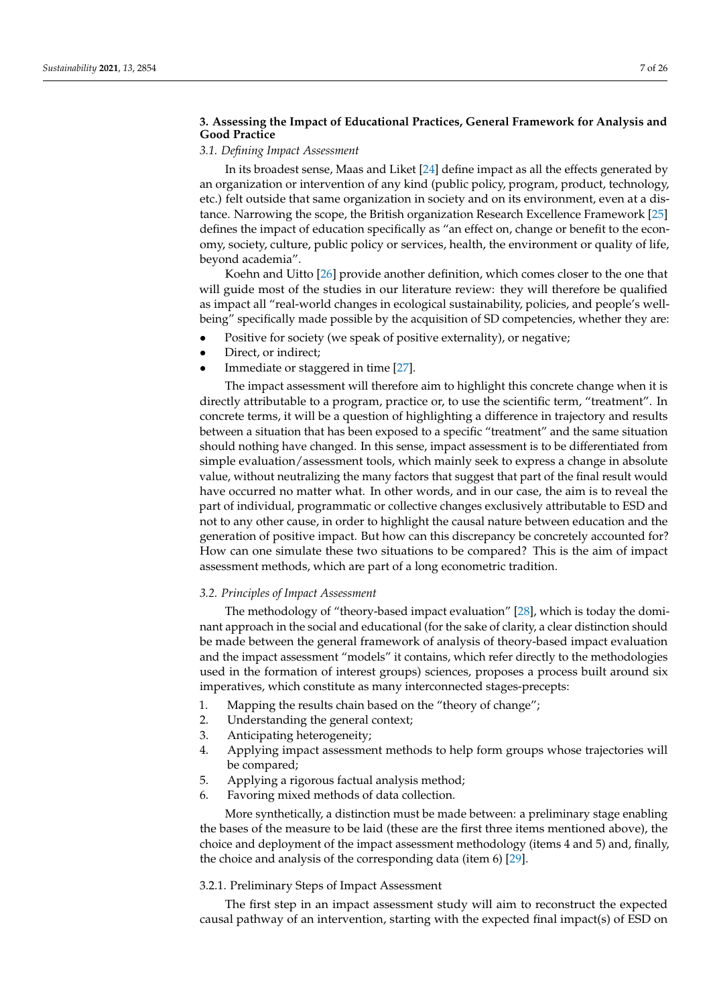# **3. Assessing the Impact of Educational Practices, General Framework for Analysis and Good Practice**

# *3.1. Defining Impact Assessment*

In its broadest sense, Maas and Liket [\[24\]](#page-22-6) define impact as all the effects generated by an organization or intervention of any kind (public policy, program, product, technology, etc.) felt outside that same organization in society and on its environment, even at a distance. Narrowing the scope, the British organization Research Excellence Framework [\[25\]](#page-22-7) defines the impact of education specifically as "an effect on, change or benefit to the economy, society, culture, public policy or services, health, the environment or quality of life, beyond academia".

Koehn and Uitto [\[26\]](#page-22-8) provide another definition, which comes closer to the one that will guide most of the studies in our literature review: they will therefore be qualified as impact all "real-world changes in ecological sustainability, policies, and people's wellbeing" specifically made possible by the acquisition of SD competencies, whether they are:

- Positive for society (we speak of positive externality), or negative;
- Direct, or indirect;
- Immediate or staggered in time [\[27\]](#page-22-9).

The impact assessment will therefore aim to highlight this concrete change when it is directly attributable to a program, practice or, to use the scientific term, "treatment". In concrete terms, it will be a question of highlighting a difference in trajectory and results between a situation that has been exposed to a specific "treatment" and the same situation should nothing have changed. In this sense, impact assessment is to be differentiated from simple evaluation/assessment tools, which mainly seek to express a change in absolute value, without neutralizing the many factors that suggest that part of the final result would have occurred no matter what. In other words, and in our case, the aim is to reveal the part of individual, programmatic or collective changes exclusively attributable to ESD and not to any other cause, in order to highlight the causal nature between education and the generation of positive impact. But how can this discrepancy be concretely accounted for? How can one simulate these two situations to be compared? This is the aim of impact assessment methods, which are part of a long econometric tradition.

#### *3.2. Principles of Impact Assessment*

The methodology of "theory-based impact evaluation" [\[28\]](#page-22-10), which is today the dominant approach in the social and educational (for the sake of clarity, a clear distinction should be made between the general framework of analysis of theory-based impact evaluation and the impact assessment "models" it contains, which refer directly to the methodologies used in the formation of interest groups) sciences, proposes a process built around six imperatives, which constitute as many interconnected stages-precepts:

- 1. Mapping the results chain based on the "theory of change";
- 2. Understanding the general context;
- 3. Anticipating heterogeneity;
- 4. Applying impact assessment methods to help form groups whose trajectories will be compared;
- 5. Applying a rigorous factual analysis method;
- 6. Favoring mixed methods of data collection.

More synthetically, a distinction must be made between: a preliminary stage enabling the bases of the measure to be laid (these are the first three items mentioned above), the choice and deployment of the impact assessment methodology (items 4 and 5) and, finally, the choice and analysis of the corresponding data (item 6) [\[29\]](#page-22-11).

## 3.2.1. Preliminary Steps of Impact Assessment

The first step in an impact assessment study will aim to reconstruct the expected causal pathway of an intervention, starting with the expected final impact(s) of ESD on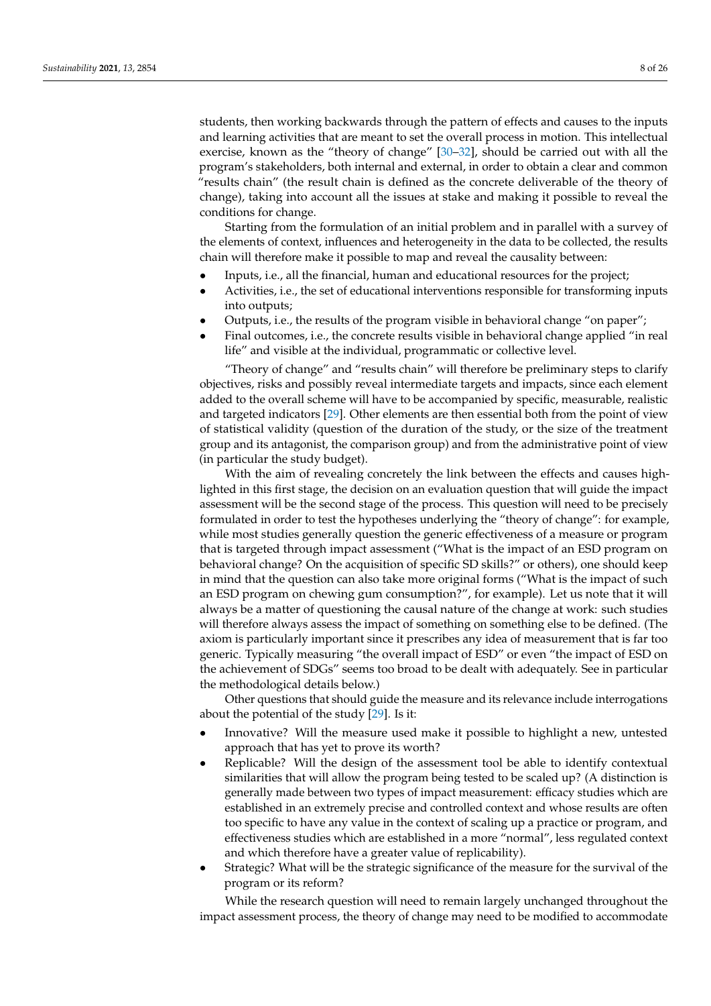students, then working backwards through the pattern of effects and causes to the inputs and learning activities that are meant to set the overall process in motion. This intellectual exercise, known as the "theory of change" [\[30](#page-22-12)[–32\]](#page-22-13), should be carried out with all the program's stakeholders, both internal and external, in order to obtain a clear and common "results chain" (the result chain is defined as the concrete deliverable of the theory of change), taking into account all the issues at stake and making it possible to reveal the conditions for change.

Starting from the formulation of an initial problem and in parallel with a survey of the elements of context, influences and heterogeneity in the data to be collected, the results chain will therefore make it possible to map and reveal the causality between:

- Inputs, i.e., all the financial, human and educational resources for the project;
- Activities, i.e., the set of educational interventions responsible for transforming inputs into outputs;
- Outputs, i.e., the results of the program visible in behavioral change "on paper";
- Final outcomes, i.e., the concrete results visible in behavioral change applied "in real life" and visible at the individual, programmatic or collective level.

"Theory of change" and "results chain" will therefore be preliminary steps to clarify objectives, risks and possibly reveal intermediate targets and impacts, since each element added to the overall scheme will have to be accompanied by specific, measurable, realistic and targeted indicators [\[29\]](#page-22-11). Other elements are then essential both from the point of view of statistical validity (question of the duration of the study, or the size of the treatment group and its antagonist, the comparison group) and from the administrative point of view (in particular the study budget).

With the aim of revealing concretely the link between the effects and causes highlighted in this first stage, the decision on an evaluation question that will guide the impact assessment will be the second stage of the process. This question will need to be precisely formulated in order to test the hypotheses underlying the "theory of change": for example, while most studies generally question the generic effectiveness of a measure or program that is targeted through impact assessment ("What is the impact of an ESD program on behavioral change? On the acquisition of specific SD skills?" or others), one should keep in mind that the question can also take more original forms ("What is the impact of such an ESD program on chewing gum consumption?", for example). Let us note that it will always be a matter of questioning the causal nature of the change at work: such studies will therefore always assess the impact of something on something else to be defined. (The axiom is particularly important since it prescribes any idea of measurement that is far too generic. Typically measuring "the overall impact of ESD" or even "the impact of ESD on the achievement of SDGs" seems too broad to be dealt with adequately. See in particular the methodological details below.)

Other questions that should guide the measure and its relevance include interrogations about the potential of the study [\[29\]](#page-22-11). Is it:

- Innovative? Will the measure used make it possible to highlight a new, untested approach that has yet to prove its worth?
- Replicable? Will the design of the assessment tool be able to identify contextual similarities that will allow the program being tested to be scaled up? (A distinction is generally made between two types of impact measurement: efficacy studies which are established in an extremely precise and controlled context and whose results are often too specific to have any value in the context of scaling up a practice or program, and effectiveness studies which are established in a more "normal", less regulated context and which therefore have a greater value of replicability).
- Strategic? What will be the strategic significance of the measure for the survival of the program or its reform?

While the research question will need to remain largely unchanged throughout the impact assessment process, the theory of change may need to be modified to accommodate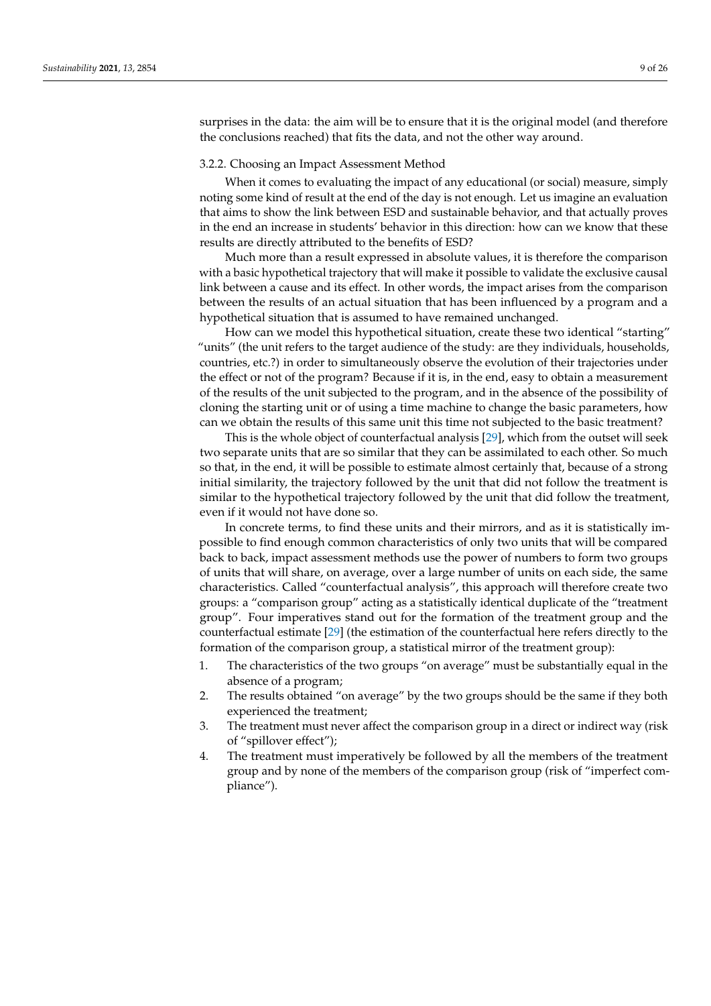surprises in the data: the aim will be to ensure that it is the original model (and therefore the conclusions reached) that fits the data, and not the other way around.

#### 3.2.2. Choosing an Impact Assessment Method

When it comes to evaluating the impact of any educational (or social) measure, simply noting some kind of result at the end of the day is not enough. Let us imagine an evaluation that aims to show the link between ESD and sustainable behavior, and that actually proves in the end an increase in students' behavior in this direction: how can we know that these results are directly attributed to the benefits of ESD?

Much more than a result expressed in absolute values, it is therefore the comparison with a basic hypothetical trajectory that will make it possible to validate the exclusive causal link between a cause and its effect. In other words, the impact arises from the comparison between the results of an actual situation that has been influenced by a program and a hypothetical situation that is assumed to have remained unchanged.

How can we model this hypothetical situation, create these two identical "starting" "units" (the unit refers to the target audience of the study: are they individuals, households, countries, etc.?) in order to simultaneously observe the evolution of their trajectories under the effect or not of the program? Because if it is, in the end, easy to obtain a measurement of the results of the unit subjected to the program, and in the absence of the possibility of cloning the starting unit or of using a time machine to change the basic parameters, how can we obtain the results of this same unit this time not subjected to the basic treatment?

This is the whole object of counterfactual analysis [\[29\]](#page-22-11), which from the outset will seek two separate units that are so similar that they can be assimilated to each other. So much so that, in the end, it will be possible to estimate almost certainly that, because of a strong initial similarity, the trajectory followed by the unit that did not follow the treatment is similar to the hypothetical trajectory followed by the unit that did follow the treatment, even if it would not have done so.

In concrete terms, to find these units and their mirrors, and as it is statistically impossible to find enough common characteristics of only two units that will be compared back to back, impact assessment methods use the power of numbers to form two groups of units that will share, on average, over a large number of units on each side, the same characteristics. Called "counterfactual analysis", this approach will therefore create two groups: a "comparison group" acting as a statistically identical duplicate of the "treatment group". Four imperatives stand out for the formation of the treatment group and the counterfactual estimate [\[29\]](#page-22-11) (the estimation of the counterfactual here refers directly to the formation of the comparison group, a statistical mirror of the treatment group):

- 1. The characteristics of the two groups "on average" must be substantially equal in the absence of a program;
- 2. The results obtained "on average" by the two groups should be the same if they both experienced the treatment;
- 3. The treatment must never affect the comparison group in a direct or indirect way (risk of "spillover effect");
- 4. The treatment must imperatively be followed by all the members of the treatment group and by none of the members of the comparison group (risk of "imperfect compliance").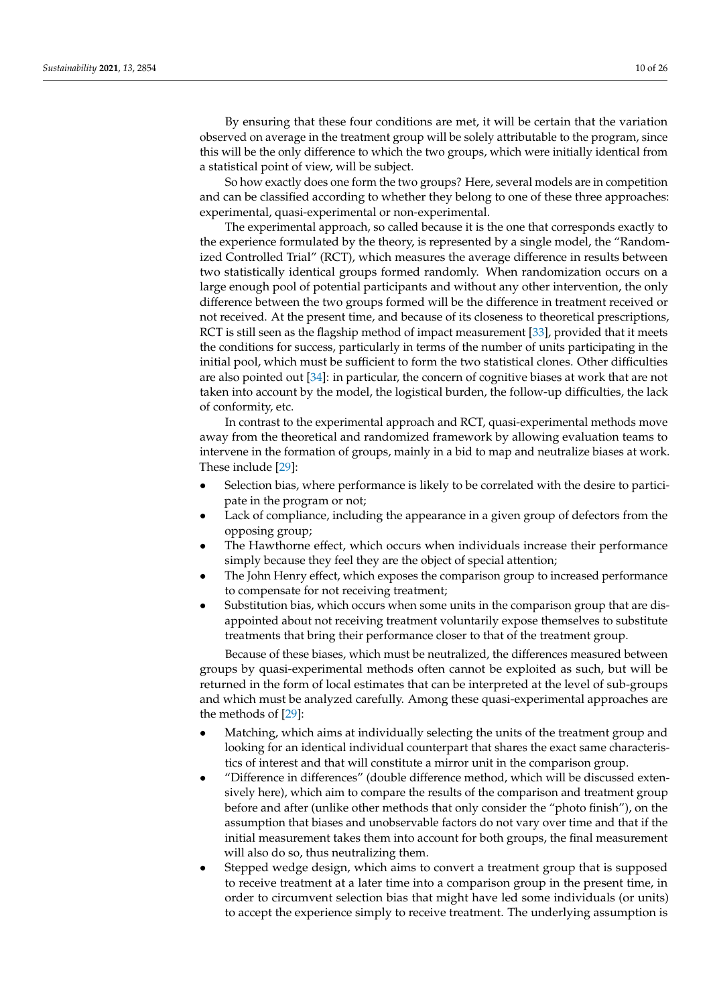By ensuring that these four conditions are met, it will be certain that the variation observed on average in the treatment group will be solely attributable to the program, since this will be the only difference to which the two groups, which were initially identical from a statistical point of view, will be subject.

So how exactly does one form the two groups? Here, several models are in competition and can be classified according to whether they belong to one of these three approaches: experimental, quasi-experimental or non-experimental.

The experimental approach, so called because it is the one that corresponds exactly to the experience formulated by the theory, is represented by a single model, the "Randomized Controlled Trial" (RCT), which measures the average difference in results between two statistically identical groups formed randomly. When randomization occurs on a large enough pool of potential participants and without any other intervention, the only difference between the two groups formed will be the difference in treatment received or not received. At the present time, and because of its closeness to theoretical prescriptions, RCT is still seen as the flagship method of impact measurement [\[33\]](#page-22-14), provided that it meets the conditions for success, particularly in terms of the number of units participating in the initial pool, which must be sufficient to form the two statistical clones. Other difficulties are also pointed out [\[34\]](#page-22-15): in particular, the concern of cognitive biases at work that are not taken into account by the model, the logistical burden, the follow-up difficulties, the lack of conformity, etc.

In contrast to the experimental approach and RCT, quasi-experimental methods move away from the theoretical and randomized framework by allowing evaluation teams to intervene in the formation of groups, mainly in a bid to map and neutralize biases at work. These include [\[29\]](#page-22-11):

- Selection bias, where performance is likely to be correlated with the desire to participate in the program or not;
- Lack of compliance, including the appearance in a given group of defectors from the opposing group;
- The Hawthorne effect, which occurs when individuals increase their performance simply because they feel they are the object of special attention;
- The John Henry effect, which exposes the comparison group to increased performance to compensate for not receiving treatment;
- Substitution bias, which occurs when some units in the comparison group that are disappointed about not receiving treatment voluntarily expose themselves to substitute treatments that bring their performance closer to that of the treatment group.

Because of these biases, which must be neutralized, the differences measured between groups by quasi-experimental methods often cannot be exploited as such, but will be returned in the form of local estimates that can be interpreted at the level of sub-groups and which must be analyzed carefully. Among these quasi-experimental approaches are the methods of [\[29\]](#page-22-11):

- Matching, which aims at individually selecting the units of the treatment group and looking for an identical individual counterpart that shares the exact same characteristics of interest and that will constitute a mirror unit in the comparison group.
- "Difference in differences" (double difference method, which will be discussed extensively here), which aim to compare the results of the comparison and treatment group before and after (unlike other methods that only consider the "photo finish"), on the assumption that biases and unobservable factors do not vary over time and that if the initial measurement takes them into account for both groups, the final measurement will also do so, thus neutralizing them.
- Stepped wedge design, which aims to convert a treatment group that is supposed to receive treatment at a later time into a comparison group in the present time, in order to circumvent selection bias that might have led some individuals (or units) to accept the experience simply to receive treatment. The underlying assumption is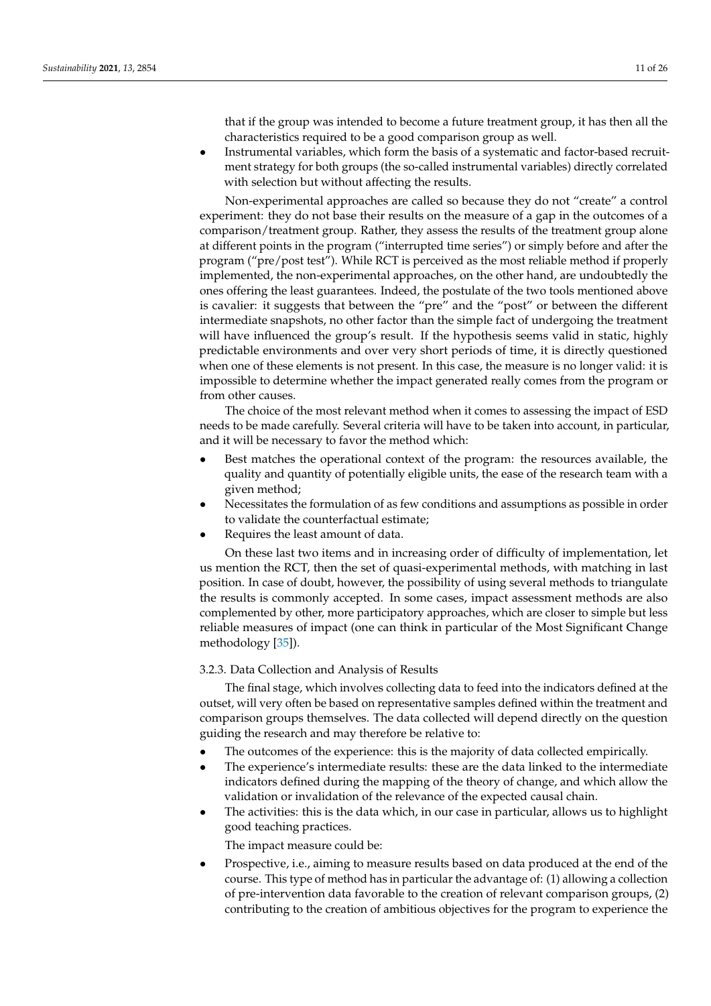that if the group was intended to become a future treatment group, it has then all the characteristics required to be a good comparison group as well.

• Instrumental variables, which form the basis of a systematic and factor-based recruitment strategy for both groups (the so-called instrumental variables) directly correlated with selection but without affecting the results.

Non-experimental approaches are called so because they do not "create" a control experiment: they do not base their results on the measure of a gap in the outcomes of a comparison/treatment group. Rather, they assess the results of the treatment group alone at different points in the program ("interrupted time series") or simply before and after the program ("pre/post test"). While RCT is perceived as the most reliable method if properly implemented, the non-experimental approaches, on the other hand, are undoubtedly the ones offering the least guarantees. Indeed, the postulate of the two tools mentioned above is cavalier: it suggests that between the "pre" and the "post" or between the different intermediate snapshots, no other factor than the simple fact of undergoing the treatment will have influenced the group's result. If the hypothesis seems valid in static, highly predictable environments and over very short periods of time, it is directly questioned when one of these elements is not present. In this case, the measure is no longer valid: it is impossible to determine whether the impact generated really comes from the program or from other causes.

The choice of the most relevant method when it comes to assessing the impact of ESD needs to be made carefully. Several criteria will have to be taken into account, in particular, and it will be necessary to favor the method which:

- Best matches the operational context of the program: the resources available, the quality and quantity of potentially eligible units, the ease of the research team with a given method;
- Necessitates the formulation of as few conditions and assumptions as possible in order to validate the counterfactual estimate;
- Requires the least amount of data.

On these last two items and in increasing order of difficulty of implementation, let us mention the RCT, then the set of quasi-experimental methods, with matching in last position. In case of doubt, however, the possibility of using several methods to triangulate the results is commonly accepted. In some cases, impact assessment methods are also complemented by other, more participatory approaches, which are closer to simple but less reliable measures of impact (one can think in particular of the Most Significant Change methodology [\[35\]](#page-22-16)).

#### 3.2.3. Data Collection and Analysis of Results

The final stage, which involves collecting data to feed into the indicators defined at the outset, will very often be based on representative samples defined within the treatment and comparison groups themselves. The data collected will depend directly on the question guiding the research and may therefore be relative to:

- The outcomes of the experience: this is the majority of data collected empirically.
- The experience's intermediate results: these are the data linked to the intermediate indicators defined during the mapping of the theory of change, and which allow the validation or invalidation of the relevance of the expected causal chain.
- The activities: this is the data which, in our case in particular, allows us to highlight good teaching practices.

The impact measure could be:

• Prospective, i.e., aiming to measure results based on data produced at the end of the course. This type of method has in particular the advantage of: (1) allowing a collection of pre-intervention data favorable to the creation of relevant comparison groups, (2) contributing to the creation of ambitious objectives for the program to experience the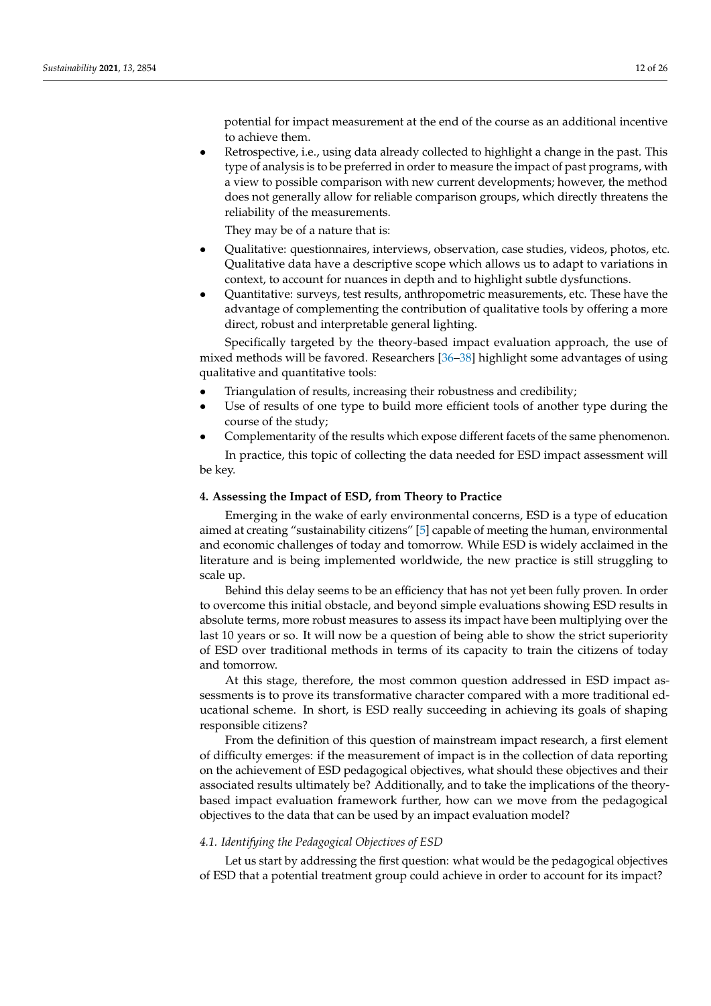potential for impact measurement at the end of the course as an additional incentive to achieve them.

• Retrospective, i.e., using data already collected to highlight a change in the past. This type of analysis is to be preferred in order to measure the impact of past programs, with a view to possible comparison with new current developments; however, the method does not generally allow for reliable comparison groups, which directly threatens the reliability of the measurements.

They may be of a nature that is:

- Qualitative: questionnaires, interviews, observation, case studies, videos, photos, etc. Qualitative data have a descriptive scope which allows us to adapt to variations in context, to account for nuances in depth and to highlight subtle dysfunctions.
- Quantitative: surveys, test results, anthropometric measurements, etc. These have the advantage of complementing the contribution of qualitative tools by offering a more direct, robust and interpretable general lighting.

Specifically targeted by the theory-based impact evaluation approach, the use of mixed methods will be favored. Researchers [\[36](#page-22-17)[–38\]](#page-22-18) highlight some advantages of using qualitative and quantitative tools:

- Triangulation of results, increasing their robustness and credibility;
- Use of results of one type to build more efficient tools of another type during the course of the study;
- Complementarity of the results which expose different facets of the same phenomenon.

In practice, this topic of collecting the data needed for ESD impact assessment will be key.

# **4. Assessing the Impact of ESD, from Theory to Practice**

Emerging in the wake of early environmental concerns, ESD is a type of education aimed at creating "sustainability citizens" [\[5\]](#page-21-4) capable of meeting the human, environmental and economic challenges of today and tomorrow. While ESD is widely acclaimed in the literature and is being implemented worldwide, the new practice is still struggling to scale up.

Behind this delay seems to be an efficiency that has not yet been fully proven. In order to overcome this initial obstacle, and beyond simple evaluations showing ESD results in absolute terms, more robust measures to assess its impact have been multiplying over the last 10 years or so. It will now be a question of being able to show the strict superiority of ESD over traditional methods in terms of its capacity to train the citizens of today and tomorrow.

At this stage, therefore, the most common question addressed in ESD impact assessments is to prove its transformative character compared with a more traditional educational scheme. In short, is ESD really succeeding in achieving its goals of shaping responsible citizens?

From the definition of this question of mainstream impact research, a first element of difficulty emerges: if the measurement of impact is in the collection of data reporting on the achievement of ESD pedagogical objectives, what should these objectives and their associated results ultimately be? Additionally, and to take the implications of the theorybased impact evaluation framework further, how can we move from the pedagogical objectives to the data that can be used by an impact evaluation model?

# *4.1. Identifying the Pedagogical Objectives of ESD*

Let us start by addressing the first question: what would be the pedagogical objectives of ESD that a potential treatment group could achieve in order to account for its impact?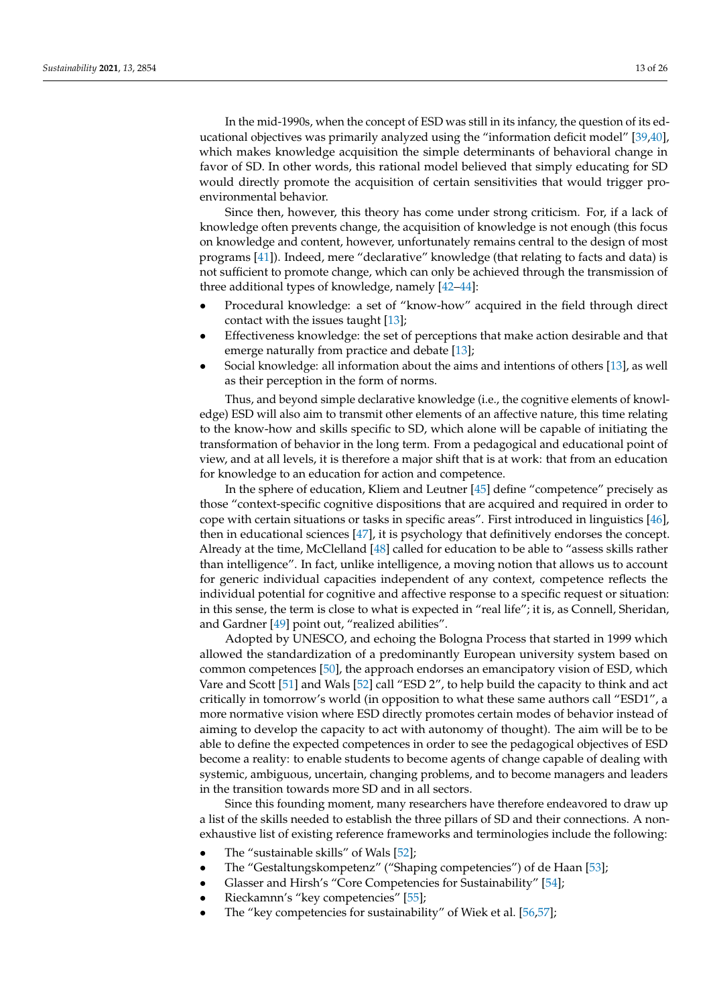In the mid-1990s, when the concept of ESD was still in its infancy, the question of its educational objectives was primarily analyzed using the "information deficit model" [\[39](#page-22-19)[,40\]](#page-22-20), which makes knowledge acquisition the simple determinants of behavioral change in favor of SD. In other words, this rational model believed that simply educating for SD would directly promote the acquisition of certain sensitivities that would trigger proenvironmental behavior.

Since then, however, this theory has come under strong criticism. For, if a lack of knowledge often prevents change, the acquisition of knowledge is not enough (this focus on knowledge and content, however, unfortunately remains central to the design of most programs [\[41\]](#page-22-21)). Indeed, mere "declarative" knowledge (that relating to facts and data) is not sufficient to promote change, which can only be achieved through the transmission of three additional types of knowledge, namely [\[42](#page-22-22)[–44\]](#page-22-23):

- Procedural knowledge: a set of "know-how" acquired in the field through direct contact with the issues taught [\[13\]](#page-21-12);
- Effectiveness knowledge: the set of perceptions that make action desirable and that emerge naturally from practice and debate [\[13\]](#page-21-12);
- Social knowledge: all information about the aims and intentions of others [\[13\]](#page-21-12), as well as their perception in the form of norms.

Thus, and beyond simple declarative knowledge (i.e., the cognitive elements of knowledge) ESD will also aim to transmit other elements of an affective nature, this time relating to the know-how and skills specific to SD, which alone will be capable of initiating the transformation of behavior in the long term. From a pedagogical and educational point of view, and at all levels, it is therefore a major shift that is at work: that from an education for knowledge to an education for action and competence.

In the sphere of education, Kliem and Leutner [\[45\]](#page-22-24) define "competence" precisely as those "context-specific cognitive dispositions that are acquired and required in order to cope with certain situations or tasks in specific areas". First introduced in linguistics [\[46\]](#page-22-25), then in educational sciences [\[47\]](#page-22-26), it is psychology that definitively endorses the concept. Already at the time, McClelland [\[48\]](#page-22-27) called for education to be able to "assess skills rather than intelligence". In fact, unlike intelligence, a moving notion that allows us to account for generic individual capacities independent of any context, competence reflects the individual potential for cognitive and affective response to a specific request or situation: in this sense, the term is close to what is expected in "real life"; it is, as Connell, Sheridan, and Gardner [\[49\]](#page-22-28) point out, "realized abilities".

Adopted by UNESCO, and echoing the Bologna Process that started in 1999 which allowed the standardization of a predominantly European university system based on common competences [\[50\]](#page-23-0), the approach endorses an emancipatory vision of ESD, which Vare and Scott [\[51\]](#page-23-1) and Wals [\[52\]](#page-23-2) call "ESD 2", to help build the capacity to think and act critically in tomorrow's world (in opposition to what these same authors call "ESD1", a more normative vision where ESD directly promotes certain modes of behavior instead of aiming to develop the capacity to act with autonomy of thought). The aim will be to be able to define the expected competences in order to see the pedagogical objectives of ESD become a reality: to enable students to become agents of change capable of dealing with systemic, ambiguous, uncertain, changing problems, and to become managers and leaders in the transition towards more SD and in all sectors.

Since this founding moment, many researchers have therefore endeavored to draw up a list of the skills needed to establish the three pillars of SD and their connections. A nonexhaustive list of existing reference frameworks and terminologies include the following:

- The "sustainable skills" of Wals [\[52\]](#page-23-2);
- The "Gestaltungskompetenz" ("Shaping competencies") of de Haan [\[53\]](#page-23-3);
- Glasser and Hirsh's "Core Competencies for Sustainability" [\[54\]](#page-23-4);
- Rieckamnn's "key competencies" [\[55\]](#page-23-5);
- The "key competencies for sustainability" of Wiek et al. [\[56](#page-23-6)[,57\]](#page-23-7);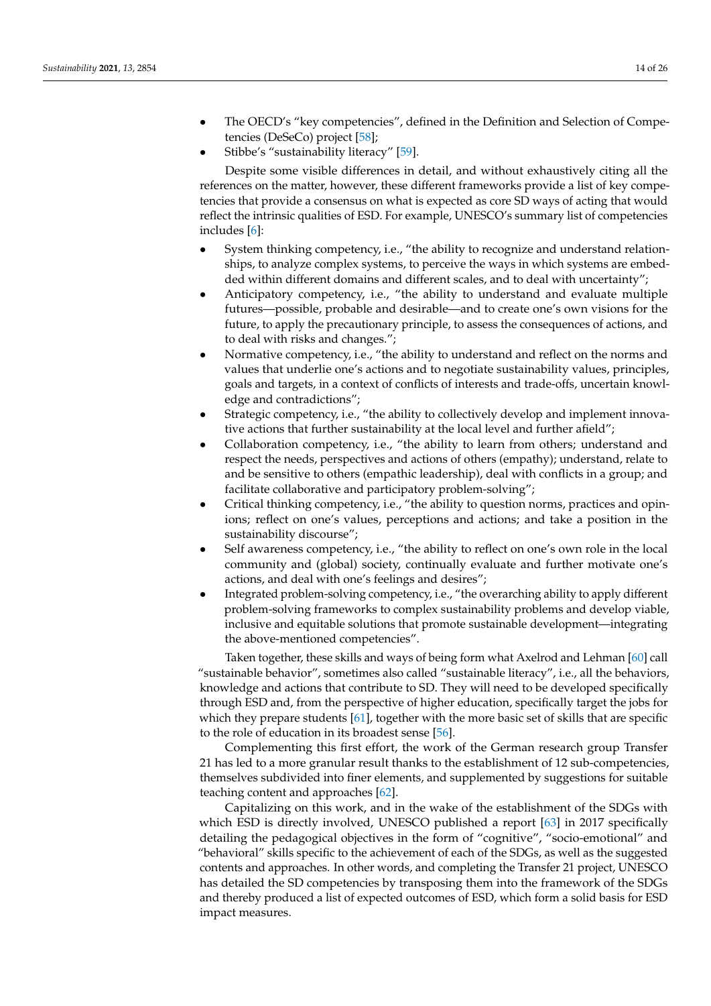- The OECD's "key competencies", defined in the Definition and Selection of Competencies (DeSeCo) project [\[58\]](#page-23-8);
- Stibbe's "sustainability literacy" [\[59\]](#page-23-9).

Despite some visible differences in detail, and without exhaustively citing all the references on the matter, however, these different frameworks provide a list of key competencies that provide a consensus on what is expected as core SD ways of acting that would reflect the intrinsic qualities of ESD. For example, UNESCO's summary list of competencies includes [\[6\]](#page-21-5):

- System thinking competency, i.e., "the ability to recognize and understand relationships, to analyze complex systems, to perceive the ways in which systems are embedded within different domains and different scales, and to deal with uncertainty";
- Anticipatory competency, i.e., "the ability to understand and evaluate multiple futures—possible, probable and desirable—and to create one's own visions for the future, to apply the precautionary principle, to assess the consequences of actions, and to deal with risks and changes.";
- Normative competency, i.e., "the ability to understand and reflect on the norms and values that underlie one's actions and to negotiate sustainability values, principles, goals and targets, in a context of conflicts of interests and trade-offs, uncertain knowledge and contradictions";
- Strategic competency, i.e., "the ability to collectively develop and implement innovative actions that further sustainability at the local level and further afield";
- Collaboration competency, i.e., "the ability to learn from others; understand and respect the needs, perspectives and actions of others (empathy); understand, relate to and be sensitive to others (empathic leadership), deal with conflicts in a group; and facilitate collaborative and participatory problem-solving";
- Critical thinking competency, i.e., "the ability to question norms, practices and opinions; reflect on one's values, perceptions and actions; and take a position in the sustainability discourse";
- Self awareness competency, i.e., "the ability to reflect on one's own role in the local community and (global) society, continually evaluate and further motivate one's actions, and deal with one's feelings and desires";
- Integrated problem-solving competency, i.e., "the overarching ability to apply different problem-solving frameworks to complex sustainability problems and develop viable, inclusive and equitable solutions that promote sustainable development—integrating the above-mentioned competencies".

Taken together, these skills and ways of being form what Axelrod and Lehman [\[60\]](#page-23-10) call "sustainable behavior", sometimes also called "sustainable literacy", i.e., all the behaviors, knowledge and actions that contribute to SD. They will need to be developed specifically through ESD and, from the perspective of higher education, specifically target the jobs for which they prepare students [\[61\]](#page-23-11), together with the more basic set of skills that are specific to the role of education in its broadest sense [\[56\]](#page-23-6).

Complementing this first effort, the work of the German research group Transfer 21 has led to a more granular result thanks to the establishment of 12 sub-competencies, themselves subdivided into finer elements, and supplemented by suggestions for suitable teaching content and approaches [\[62\]](#page-23-12).

Capitalizing on this work, and in the wake of the establishment of the SDGs with which ESD is directly involved, UNESCO published a report [\[63\]](#page-23-13) in 2017 specifically detailing the pedagogical objectives in the form of "cognitive", "socio-emotional" and "behavioral" skills specific to the achievement of each of the SDGs, as well as the suggested contents and approaches. In other words, and completing the Transfer 21 project, UNESCO has detailed the SD competencies by transposing them into the framework of the SDGs and thereby produced a list of expected outcomes of ESD, which form a solid basis for ESD impact measures.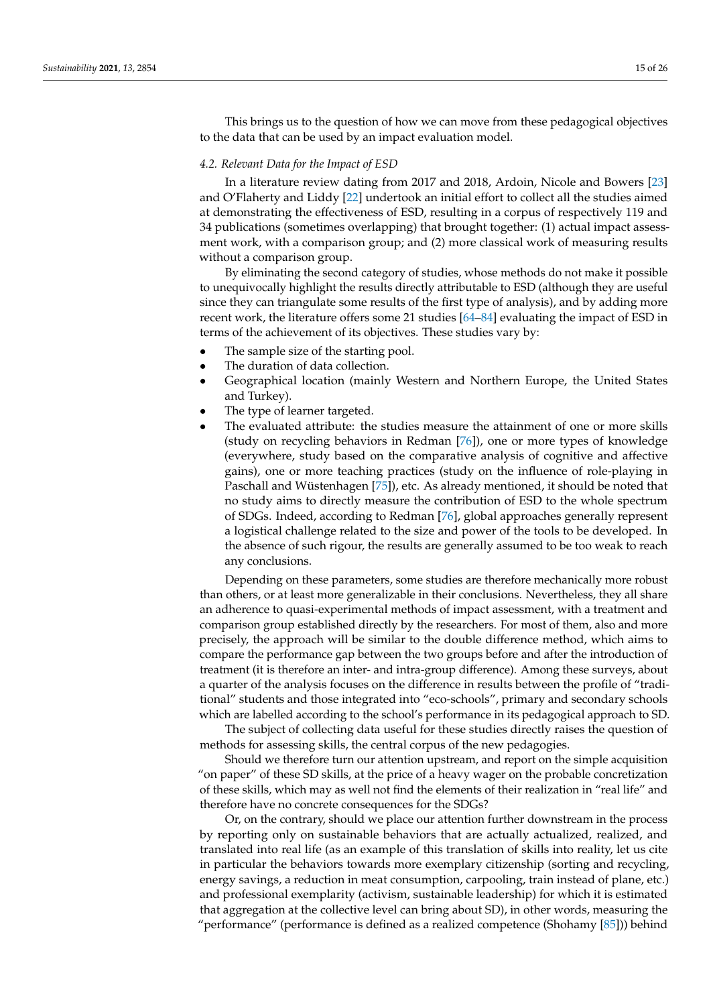This brings us to the question of how we can move from these pedagogical objectives to the data that can be used by an impact evaluation model.

#### *4.2. Relevant Data for the Impact of ESD*

In a literature review dating from 2017 and 2018, Ardoin, Nicole and Bowers [\[23\]](#page-22-5) and O'Flaherty and Liddy [\[22\]](#page-22-4) undertook an initial effort to collect all the studies aimed at demonstrating the effectiveness of ESD, resulting in a corpus of respectively 119 and 34 publications (sometimes overlapping) that brought together: (1) actual impact assessment work, with a comparison group; and (2) more classical work of measuring results without a comparison group.

By eliminating the second category of studies, whose methods do not make it possible to unequivocally highlight the results directly attributable to ESD (although they are useful since they can triangulate some results of the first type of analysis), and by adding more recent work, the literature offers some 21 studies [\[64–](#page-23-14)[84\]](#page-24-0) evaluating the impact of ESD in terms of the achievement of its objectives. These studies vary by:

- The sample size of the starting pool.
- The duration of data collection.
- Geographical location (mainly Western and Northern Europe, the United States and Turkey).
- The type of learner targeted.
- The evaluated attribute: the studies measure the attainment of one or more skills (study on recycling behaviors in Redman [\[76\]](#page-23-15)), one or more types of knowledge (everywhere, study based on the comparative analysis of cognitive and affective gains), one or more teaching practices (study on the influence of role-playing in Paschall and Wüstenhagen [\[75\]](#page-23-16)), etc. As already mentioned, it should be noted that no study aims to directly measure the contribution of ESD to the whole spectrum of SDGs. Indeed, according to Redman [\[76\]](#page-23-15), global approaches generally represent a logistical challenge related to the size and power of the tools to be developed. In the absence of such rigour, the results are generally assumed to be too weak to reach any conclusions.

Depending on these parameters, some studies are therefore mechanically more robust than others, or at least more generalizable in their conclusions. Nevertheless, they all share an adherence to quasi-experimental methods of impact assessment, with a treatment and comparison group established directly by the researchers. For most of them, also and more precisely, the approach will be similar to the double difference method, which aims to compare the performance gap between the two groups before and after the introduction of treatment (it is therefore an inter- and intra-group difference). Among these surveys, about a quarter of the analysis focuses on the difference in results between the profile of "traditional" students and those integrated into "eco-schools", primary and secondary schools which are labelled according to the school's performance in its pedagogical approach to SD.

The subject of collecting data useful for these studies directly raises the question of methods for assessing skills, the central corpus of the new pedagogies.

Should we therefore turn our attention upstream, and report on the simple acquisition "on paper" of these SD skills, at the price of a heavy wager on the probable concretization of these skills, which may as well not find the elements of their realization in "real life" and therefore have no concrete consequences for the SDGs?

Or, on the contrary, should we place our attention further downstream in the process by reporting only on sustainable behaviors that are actually actualized, realized, and translated into real life (as an example of this translation of skills into reality, let us cite in particular the behaviors towards more exemplary citizenship (sorting and recycling, energy savings, a reduction in meat consumption, carpooling, train instead of plane, etc.) and professional exemplarity (activism, sustainable leadership) for which it is estimated that aggregation at the collective level can bring about SD), in other words, measuring the "performance" (performance is defined as a realized competence (Shohamy [\[85\]](#page-24-1))) behind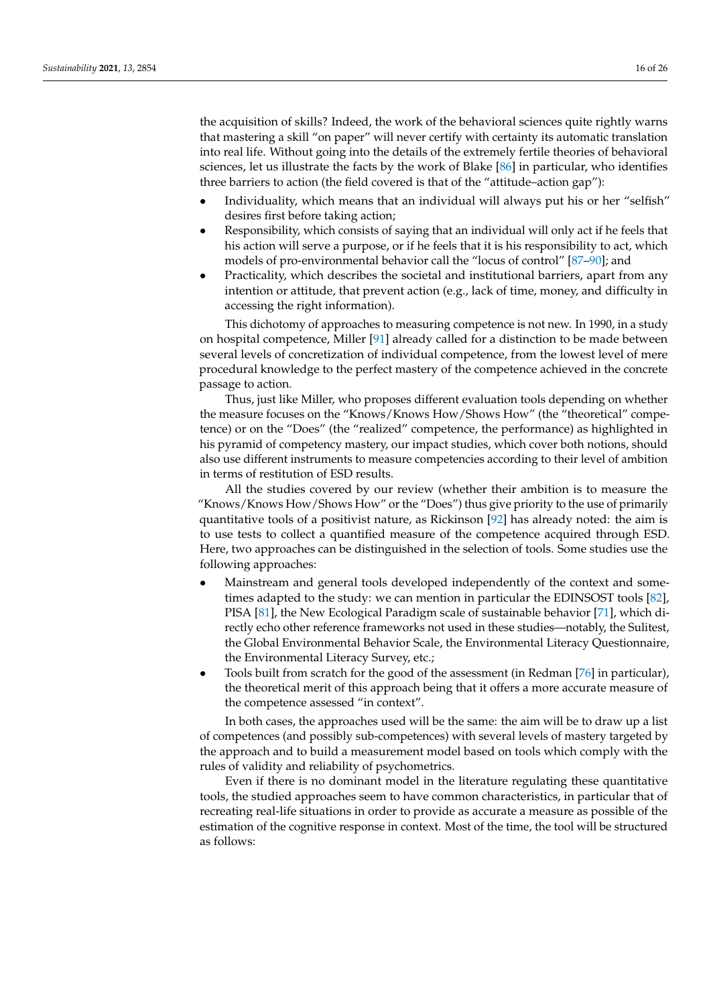the acquisition of skills? Indeed, the work of the behavioral sciences quite rightly warns that mastering a skill "on paper" will never certify with certainty its automatic translation into real life. Without going into the details of the extremely fertile theories of behavioral sciences, let us illustrate the facts by the work of Blake [\[86\]](#page-24-2) in particular, who identifies three barriers to action (the field covered is that of the "attitude–action gap"):

- Individuality, which means that an individual will always put his or her "selfish" desires first before taking action;
- Responsibility, which consists of saying that an individual will only act if he feels that his action will serve a purpose, or if he feels that it is his responsibility to act, which models of pro-environmental behavior call the "locus of control" [\[87–](#page-24-3)[90\]](#page-24-4); and
- Practicality, which describes the societal and institutional barriers, apart from any intention or attitude, that prevent action (e.g., lack of time, money, and difficulty in accessing the right information).

This dichotomy of approaches to measuring competence is not new. In 1990, in a study on hospital competence, Miller [\[91\]](#page-24-5) already called for a distinction to be made between several levels of concretization of individual competence, from the lowest level of mere procedural knowledge to the perfect mastery of the competence achieved in the concrete passage to action.

Thus, just like Miller, who proposes different evaluation tools depending on whether the measure focuses on the "Knows/Knows How/Shows How" (the "theoretical" competence) or on the "Does" (the "realized" competence, the performance) as highlighted in his pyramid of competency mastery, our impact studies, which cover both notions, should also use different instruments to measure competencies according to their level of ambition in terms of restitution of ESD results.

All the studies covered by our review (whether their ambition is to measure the "Knows/Knows How/Shows How" or the "Does") thus give priority to the use of primarily quantitative tools of a positivist nature, as Rickinson  $[92]$  has already noted: the aim is to use tests to collect a quantified measure of the competence acquired through ESD. Here, two approaches can be distinguished in the selection of tools. Some studies use the following approaches:

- Mainstream and general tools developed independently of the context and sometimes adapted to the study: we can mention in particular the EDINSOST tools [\[82\]](#page-24-7), PISA [\[81\]](#page-24-8), the New Ecological Paradigm scale of sustainable behavior [\[71\]](#page-23-17), which directly echo other reference frameworks not used in these studies—notably, the Sulitest, the Global Environmental Behavior Scale, the Environmental Literacy Questionnaire, the Environmental Literacy Survey, etc.;
- Tools built from scratch for the good of the assessment (in Redman [\[76\]](#page-23-15) in particular), the theoretical merit of this approach being that it offers a more accurate measure of the competence assessed "in context".

In both cases, the approaches used will be the same: the aim will be to draw up a list of competences (and possibly sub-competences) with several levels of mastery targeted by the approach and to build a measurement model based on tools which comply with the rules of validity and reliability of psychometrics.

Even if there is no dominant model in the literature regulating these quantitative tools, the studied approaches seem to have common characteristics, in particular that of recreating real-life situations in order to provide as accurate a measure as possible of the estimation of the cognitive response in context. Most of the time, the tool will be structured as follows: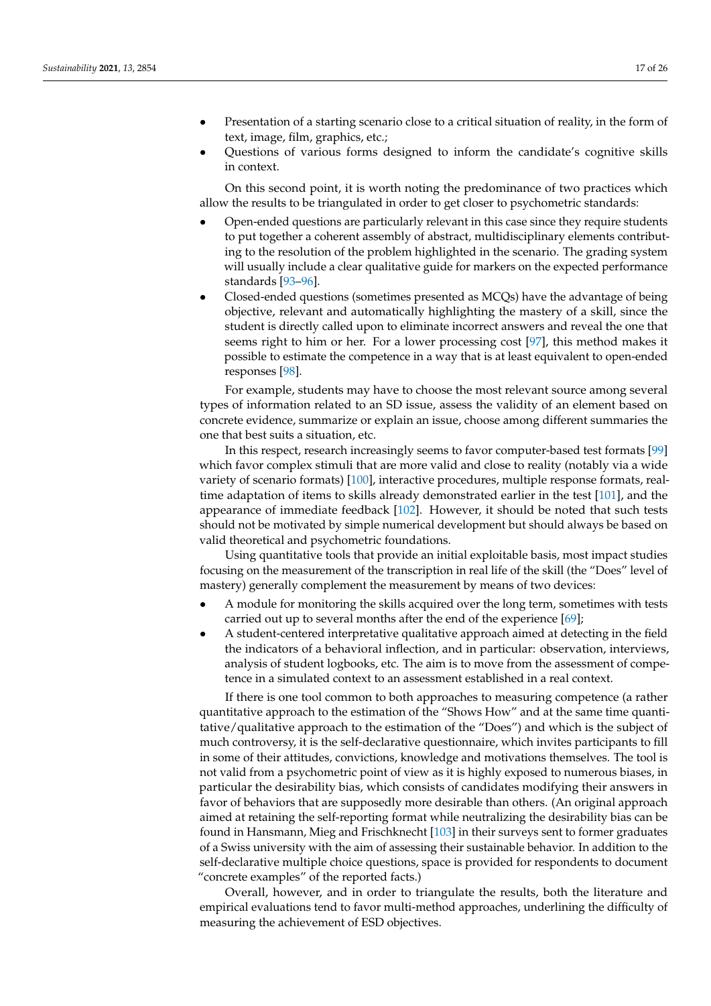- Presentation of a starting scenario close to a critical situation of reality, in the form of text, image, film, graphics, etc.;
- Questions of various forms designed to inform the candidate's cognitive skills in context.

On this second point, it is worth noting the predominance of two practices which allow the results to be triangulated in order to get closer to psychometric standards:

- Open-ended questions are particularly relevant in this case since they require students to put together a coherent assembly of abstract, multidisciplinary elements contributing to the resolution of the problem highlighted in the scenario. The grading system will usually include a clear qualitative guide for markers on the expected performance standards [\[93](#page-24-9)[–96\]](#page-24-10).
- Closed-ended questions (sometimes presented as MCQs) have the advantage of being objective, relevant and automatically highlighting the mastery of a skill, since the student is directly called upon to eliminate incorrect answers and reveal the one that seems right to him or her. For a lower processing cost [\[97\]](#page-24-11), this method makes it possible to estimate the competence in a way that is at least equivalent to open-ended responses [\[98\]](#page-24-12).

For example, students may have to choose the most relevant source among several types of information related to an SD issue, assess the validity of an element based on concrete evidence, summarize or explain an issue, choose among different summaries the one that best suits a situation, etc.

In this respect, research increasingly seems to favor computer-based test formats [\[99\]](#page-24-13) which favor complex stimuli that are more valid and close to reality (notably via a wide variety of scenario formats) [\[100\]](#page-24-14), interactive procedures, multiple response formats, realtime adaptation of items to skills already demonstrated earlier in the test [\[101\]](#page-24-15), and the appearance of immediate feedback [\[102\]](#page-24-16). However, it should be noted that such tests should not be motivated by simple numerical development but should always be based on valid theoretical and psychometric foundations.

Using quantitative tools that provide an initial exploitable basis, most impact studies focusing on the measurement of the transcription in real life of the skill (the "Does" level of mastery) generally complement the measurement by means of two devices:

- A module for monitoring the skills acquired over the long term, sometimes with tests carried out up to several months after the end of the experience [\[69\]](#page-23-18);
- A student-centered interpretative qualitative approach aimed at detecting in the field the indicators of a behavioral inflection, and in particular: observation, interviews, analysis of student logbooks, etc. The aim is to move from the assessment of competence in a simulated context to an assessment established in a real context.

If there is one tool common to both approaches to measuring competence (a rather quantitative approach to the estimation of the "Shows How" and at the same time quantitative/qualitative approach to the estimation of the "Does") and which is the subject of much controversy, it is the self-declarative questionnaire, which invites participants to fill in some of their attitudes, convictions, knowledge and motivations themselves. The tool is not valid from a psychometric point of view as it is highly exposed to numerous biases, in particular the desirability bias, which consists of candidates modifying their answers in favor of behaviors that are supposedly more desirable than others. (An original approach aimed at retaining the self-reporting format while neutralizing the desirability bias can be found in Hansmann, Mieg and Frischknecht [\[103\]](#page-24-17) in their surveys sent to former graduates of a Swiss university with the aim of assessing their sustainable behavior. In addition to the self-declarative multiple choice questions, space is provided for respondents to document "concrete examples" of the reported facts.)

Overall, however, and in order to triangulate the results, both the literature and empirical evaluations tend to favor multi-method approaches, underlining the difficulty of measuring the achievement of ESD objectives.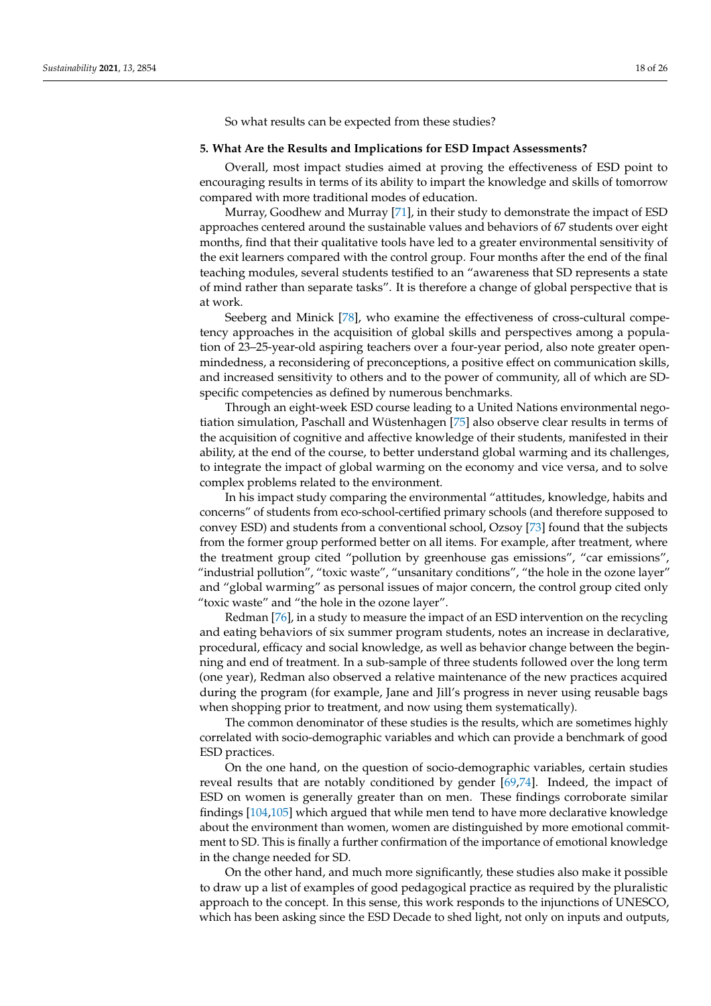So what results can be expected from these studies?

#### **5. What Are the Results and Implications for ESD Impact Assessments?**

Overall, most impact studies aimed at proving the effectiveness of ESD point to encouraging results in terms of its ability to impart the knowledge and skills of tomorrow compared with more traditional modes of education.

Murray, Goodhew and Murray [\[71\]](#page-23-17), in their study to demonstrate the impact of ESD approaches centered around the sustainable values and behaviors of 67 students over eight months, find that their qualitative tools have led to a greater environmental sensitivity of the exit learners compared with the control group. Four months after the end of the final teaching modules, several students testified to an "awareness that SD represents a state of mind rather than separate tasks". It is therefore a change of global perspective that is at work.

Seeberg and Minick [\[78\]](#page-24-18), who examine the effectiveness of cross-cultural competency approaches in the acquisition of global skills and perspectives among a population of 23–25-year-old aspiring teachers over a four-year period, also note greater openmindedness, a reconsidering of preconceptions, a positive effect on communication skills, and increased sensitivity to others and to the power of community, all of which are SDspecific competencies as defined by numerous benchmarks.

Through an eight-week ESD course leading to a United Nations environmental negotiation simulation, Paschall and Wüstenhagen [\[75\]](#page-23-16) also observe clear results in terms of the acquisition of cognitive and affective knowledge of their students, manifested in their ability, at the end of the course, to better understand global warming and its challenges, to integrate the impact of global warming on the economy and vice versa, and to solve complex problems related to the environment.

In his impact study comparing the environmental "attitudes, knowledge, habits and concerns" of students from eco-school-certified primary schools (and therefore supposed to convey ESD) and students from a conventional school, Ozsoy [\[73\]](#page-23-19) found that the subjects from the former group performed better on all items. For example, after treatment, where the treatment group cited "pollution by greenhouse gas emissions", "car emissions", "industrial pollution", "toxic waste", "unsanitary conditions", "the hole in the ozone layer" and "global warming" as personal issues of major concern, the control group cited only "toxic waste" and "the hole in the ozone layer".

Redman [\[76\]](#page-23-15), in a study to measure the impact of an ESD intervention on the recycling and eating behaviors of six summer program students, notes an increase in declarative, procedural, efficacy and social knowledge, as well as behavior change between the beginning and end of treatment. In a sub-sample of three students followed over the long term (one year), Redman also observed a relative maintenance of the new practices acquired during the program (for example, Jane and Jill's progress in never using reusable bags when shopping prior to treatment, and now using them systematically).

The common denominator of these studies is the results, which are sometimes highly correlated with socio-demographic variables and which can provide a benchmark of good ESD practices.

On the one hand, on the question of socio-demographic variables, certain studies reveal results that are notably conditioned by gender [\[69](#page-23-18)[,74\]](#page-23-20). Indeed, the impact of ESD on women is generally greater than on men. These findings corroborate similar findings [\[104](#page-24-19)[,105\]](#page-24-20) which argued that while men tend to have more declarative knowledge about the environment than women, women are distinguished by more emotional commitment to SD. This is finally a further confirmation of the importance of emotional knowledge in the change needed for SD.

On the other hand, and much more significantly, these studies also make it possible to draw up a list of examples of good pedagogical practice as required by the pluralistic approach to the concept. In this sense, this work responds to the injunctions of UNESCO, which has been asking since the ESD Decade to shed light, not only on inputs and outputs,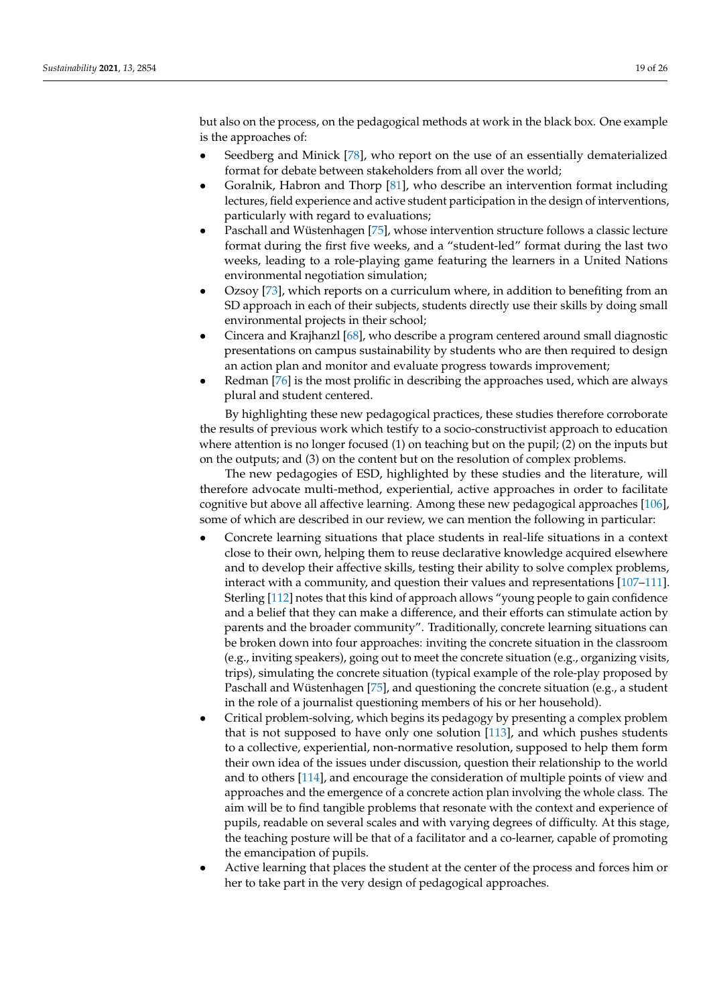but also on the process, on the pedagogical methods at work in the black box. One example is the approaches of:

- Seedberg and Minick [\[78\]](#page-24-18), who report on the use of an essentially dematerialized format for debate between stakeholders from all over the world;
- Goralnik, Habron and Thorp [\[81\]](#page-24-8), who describe an intervention format including lectures, field experience and active student participation in the design of interventions, particularly with regard to evaluations;
- Paschall and Wüstenhagen [\[75\]](#page-23-16), whose intervention structure follows a classic lecture format during the first five weeks, and a "student-led" format during the last two weeks, leading to a role-playing game featuring the learners in a United Nations environmental negotiation simulation;
- Ozsoy [\[73\]](#page-23-19), which reports on a curriculum where, in addition to benefiting from an SD approach in each of their subjects, students directly use their skills by doing small environmental projects in their school;
- Cincera and Krajhanzl [\[68\]](#page-23-21), who describe a program centered around small diagnostic presentations on campus sustainability by students who are then required to design an action plan and monitor and evaluate progress towards improvement;
- Redman [\[76\]](#page-23-15) is the most prolific in describing the approaches used, which are always plural and student centered.

By highlighting these new pedagogical practices, these studies therefore corroborate the results of previous work which testify to a socio-constructivist approach to education where attention is no longer focused (1) on teaching but on the pupil; (2) on the inputs but on the outputs; and (3) on the content but on the resolution of complex problems.

The new pedagogies of ESD, highlighted by these studies and the literature, will therefore advocate multi-method, experiential, active approaches in order to facilitate cognitive but above all affective learning. Among these new pedagogical approaches [\[106\]](#page-24-21), some of which are described in our review, we can mention the following in particular:

- Concrete learning situations that place students in real-life situations in a context close to their own, helping them to reuse declarative knowledge acquired elsewhere and to develop their affective skills, testing their ability to solve complex problems, interact with a community, and question their values and representations [\[107](#page-24-22)[–111\]](#page-25-0). Sterling [\[112\]](#page-25-1) notes that this kind of approach allows "young people to gain confidence and a belief that they can make a difference, and their efforts can stimulate action by parents and the broader community". Traditionally, concrete learning situations can be broken down into four approaches: inviting the concrete situation in the classroom (e.g., inviting speakers), going out to meet the concrete situation (e.g., organizing visits, trips), simulating the concrete situation (typical example of the role-play proposed by Paschall and Wüstenhagen [\[75\]](#page-23-16), and questioning the concrete situation (e.g., a student in the role of a journalist questioning members of his or her household).
- Critical problem-solving, which begins its pedagogy by presenting a complex problem that is not supposed to have only one solution [\[113\]](#page-25-2), and which pushes students to a collective, experiential, non-normative resolution, supposed to help them form their own idea of the issues under discussion, question their relationship to the world and to others [\[114\]](#page-25-3), and encourage the consideration of multiple points of view and approaches and the emergence of a concrete action plan involving the whole class. The aim will be to find tangible problems that resonate with the context and experience of pupils, readable on several scales and with varying degrees of difficulty. At this stage, the teaching posture will be that of a facilitator and a co-learner, capable of promoting the emancipation of pupils.
- Active learning that places the student at the center of the process and forces him or her to take part in the very design of pedagogical approaches.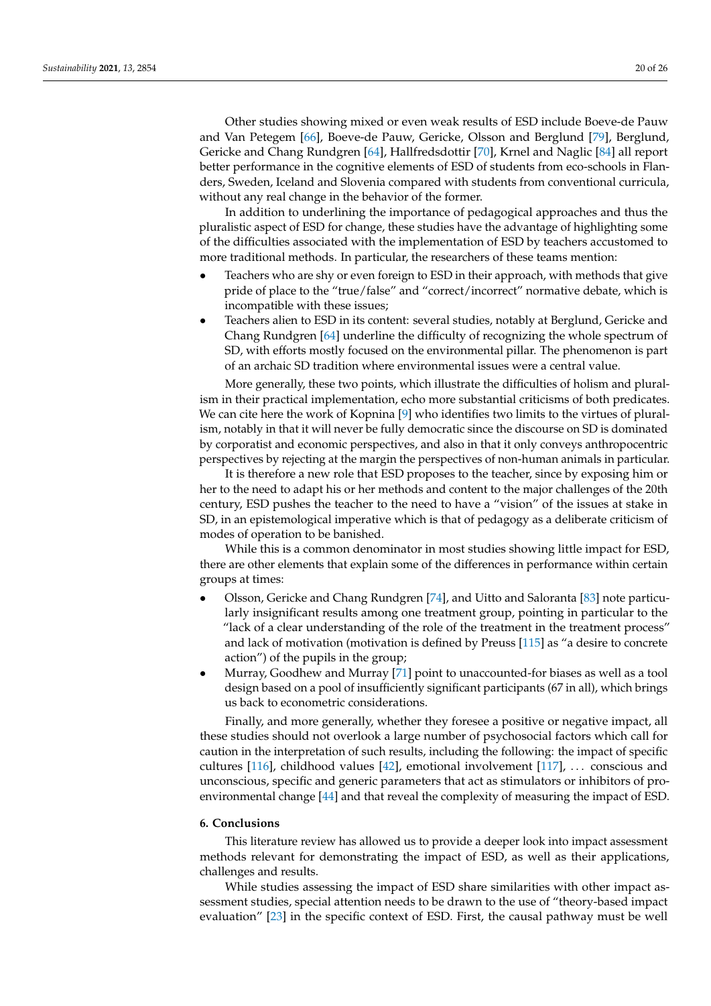Other studies showing mixed or even weak results of ESD include Boeve-de Pauw and Van Petegem [\[66\]](#page-23-22), Boeve-de Pauw, Gericke, Olsson and Berglund [\[79\]](#page-24-23), Berglund, Gericke and Chang Rundgren [\[64\]](#page-23-14), Hallfredsdottir [\[70\]](#page-23-23), Krnel and Naglic [\[84\]](#page-24-0) all report better performance in the cognitive elements of ESD of students from eco-schools in Flanders, Sweden, Iceland and Slovenia compared with students from conventional curricula, without any real change in the behavior of the former.

In addition to underlining the importance of pedagogical approaches and thus the pluralistic aspect of ESD for change, these studies have the advantage of highlighting some of the difficulties associated with the implementation of ESD by teachers accustomed to more traditional methods. In particular, the researchers of these teams mention:

- Teachers who are shy or even foreign to ESD in their approach, with methods that give pride of place to the "true/false" and "correct/incorrect" normative debate, which is incompatible with these issues;
- Teachers alien to ESD in its content: several studies, notably at Berglund, Gericke and Chang Rundgren [\[64\]](#page-23-14) underline the difficulty of recognizing the whole spectrum of SD, with efforts mostly focused on the environmental pillar. The phenomenon is part of an archaic SD tradition where environmental issues were a central value.

More generally, these two points, which illustrate the difficulties of holism and pluralism in their practical implementation, echo more substantial criticisms of both predicates. We can cite here the work of Kopnina [\[9\]](#page-21-8) who identifies two limits to the virtues of pluralism, notably in that it will never be fully democratic since the discourse on SD is dominated by corporatist and economic perspectives, and also in that it only conveys anthropocentric perspectives by rejecting at the margin the perspectives of non-human animals in particular.

It is therefore a new role that ESD proposes to the teacher, since by exposing him or her to the need to adapt his or her methods and content to the major challenges of the 20th century, ESD pushes the teacher to the need to have a "vision" of the issues at stake in SD, in an epistemological imperative which is that of pedagogy as a deliberate criticism of modes of operation to be banished.

While this is a common denominator in most studies showing little impact for ESD, there are other elements that explain some of the differences in performance within certain groups at times:

- Olsson, Gericke and Chang Rundgren [\[74\]](#page-23-20), and Uitto and Saloranta [\[83\]](#page-24-24) note particularly insignificant results among one treatment group, pointing in particular to the "lack of a clear understanding of the role of the treatment in the treatment process" and lack of motivation (motivation is defined by Preuss [\[115\]](#page-25-4) as "a desire to concrete action") of the pupils in the group;
- Murray, Goodhew and Murray [\[71\]](#page-23-17) point to unaccounted-for biases as well as a tool design based on a pool of insufficiently significant participants (67 in all), which brings us back to econometric considerations.

Finally, and more generally, whether they foresee a positive or negative impact, all these studies should not overlook a large number of psychosocial factors which call for caution in the interpretation of such results, including the following: the impact of specific cultures [\[116\]](#page-25-5), childhood values [\[42\]](#page-22-22), emotional involvement [\[117\]](#page-25-6), . . . conscious and unconscious, specific and generic parameters that act as stimulators or inhibitors of proenvironmental change [\[44\]](#page-22-23) and that reveal the complexity of measuring the impact of ESD.

#### **6. Conclusions**

This literature review has allowed us to provide a deeper look into impact assessment methods relevant for demonstrating the impact of ESD, as well as their applications, challenges and results.

While studies assessing the impact of ESD share similarities with other impact assessment studies, special attention needs to be drawn to the use of "theory-based impact evaluation" [\[23\]](#page-22-5) in the specific context of ESD. First, the causal pathway must be well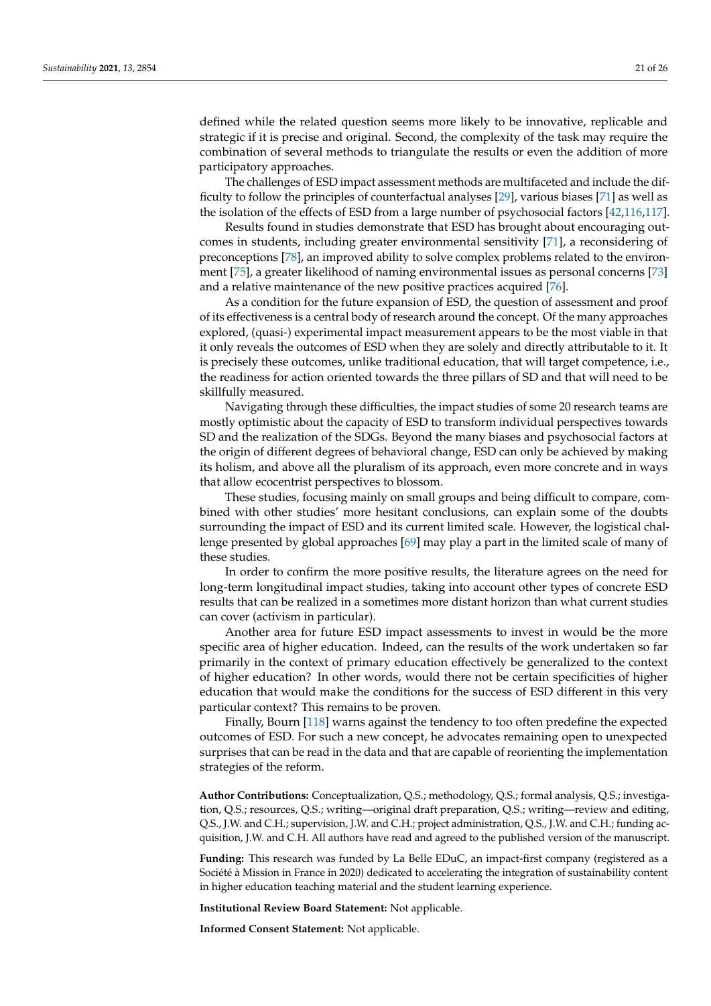defined while the related question seems more likely to be innovative, replicable and strategic if it is precise and original. Second, the complexity of the task may require the combination of several methods to triangulate the results or even the addition of more participatory approaches.

The challenges of ESD impact assessment methods are multifaceted and include the difficulty to follow the principles of counterfactual analyses [\[29\]](#page-22-11), various biases [\[71\]](#page-23-17) as well as the isolation of the effects of ESD from a large number of psychosocial factors [\[42](#page-22-22)[,116](#page-25-5)[,117\]](#page-25-6).

Results found in studies demonstrate that ESD has brought about encouraging outcomes in students, including greater environmental sensitivity [\[71\]](#page-23-17), a reconsidering of preconceptions [\[78\]](#page-24-18), an improved ability to solve complex problems related to the environment [\[75\]](#page-23-16), a greater likelihood of naming environmental issues as personal concerns [\[73\]](#page-23-19) and a relative maintenance of the new positive practices acquired [\[76\]](#page-23-15).

As a condition for the future expansion of ESD, the question of assessment and proof of its effectiveness is a central body of research around the concept. Of the many approaches explored, (quasi-) experimental impact measurement appears to be the most viable in that it only reveals the outcomes of ESD when they are solely and directly attributable to it. It is precisely these outcomes, unlike traditional education, that will target competence, i.e., the readiness for action oriented towards the three pillars of SD and that will need to be skillfully measured.

Navigating through these difficulties, the impact studies of some 20 research teams are mostly optimistic about the capacity of ESD to transform individual perspectives towards SD and the realization of the SDGs. Beyond the many biases and psychosocial factors at the origin of different degrees of behavioral change, ESD can only be achieved by making its holism, and above all the pluralism of its approach, even more concrete and in ways that allow ecocentrist perspectives to blossom.

These studies, focusing mainly on small groups and being difficult to compare, combined with other studies' more hesitant conclusions, can explain some of the doubts surrounding the impact of ESD and its current limited scale. However, the logistical challenge presented by global approaches [\[69\]](#page-23-18) may play a part in the limited scale of many of these studies.

In order to confirm the more positive results, the literature agrees on the need for long-term longitudinal impact studies, taking into account other types of concrete ESD results that can be realized in a sometimes more distant horizon than what current studies can cover (activism in particular).

Another area for future ESD impact assessments to invest in would be the more specific area of higher education. Indeed, can the results of the work undertaken so far primarily in the context of primary education effectively be generalized to the context of higher education? In other words, would there not be certain specificities of higher education that would make the conditions for the success of ESD different in this very particular context? This remains to be proven.

Finally, Bourn [\[118\]](#page-25-7) warns against the tendency to too often predefine the expected outcomes of ESD. For such a new concept, he advocates remaining open to unexpected surprises that can be read in the data and that are capable of reorienting the implementation strategies of the reform.

**Author Contributions:** Conceptualization, Q.S.; methodology, Q.S.; formal analysis, Q.S.; investigation, Q.S.; resources, Q.S.; writing—original draft preparation, Q.S.; writing—review and editing, Q.S., J.W. and C.H.; supervision, J.W. and C.H.; project administration, Q.S., J.W. and C.H.; funding acquisition, J.W. and C.H. All authors have read and agreed to the published version of the manuscript.

**Funding:** This research was funded by La Belle EDuC, an impact-first company (registered as a Société à Mission in France in 2020) dedicated to accelerating the integration of sustainability content in higher education teaching material and the student learning experience.

**Institutional Review Board Statement:** Not applicable.

**Informed Consent Statement:** Not applicable.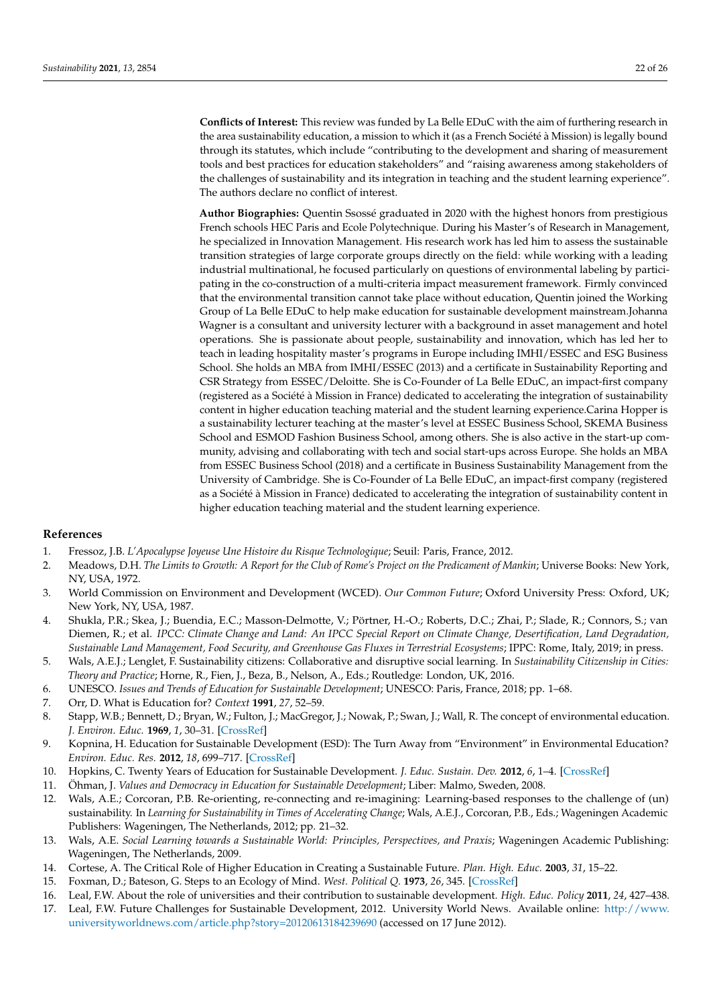**Conflicts of Interest:** This review was funded by La Belle EDuC with the aim of furthering research in the area sustainability education, a mission to which it (as a French Société à Mission) is legally bound through its statutes, which include "contributing to the development and sharing of measurement tools and best practices for education stakeholders" and "raising awareness among stakeholders of the challenges of sustainability and its integration in teaching and the student learning experience". The authors declare no conflict of interest.

**Author Biographies:** Quentin Ssossé graduated in 2020 with the highest honors from prestigious French schools HEC Paris and Ecole Polytechnique. During his Master's of Research in Management, he specialized in Innovation Management. His research work has led him to assess the sustainable transition strategies of large corporate groups directly on the field: while working with a leading industrial multinational, he focused particularly on questions of environmental labeling by participating in the co-construction of a multi-criteria impact measurement framework. Firmly convinced that the environmental transition cannot take place without education, Quentin joined the Working Group of La Belle EDuC to help make education for sustainable development mainstream.Johanna Wagner is a consultant and university lecturer with a background in asset management and hotel operations. She is passionate about people, sustainability and innovation, which has led her to teach in leading hospitality master's programs in Europe including IMHI/ESSEC and ESG Business School. She holds an MBA from IMHI/ESSEC (2013) and a certificate in Sustainability Reporting and CSR Strategy from ESSEC/Deloitte. She is Co-Founder of La Belle EDuC, an impact-first company (registered as a Société à Mission in France) dedicated to accelerating the integration of sustainability content in higher education teaching material and the student learning experience.Carina Hopper is a sustainability lecturer teaching at the master's level at ESSEC Business School, SKEMA Business School and ESMOD Fashion Business School, among others. She is also active in the start-up community, advising and collaborating with tech and social start-ups across Europe. She holds an MBA from ESSEC Business School (2018) and a certificate in Business Sustainability Management from the University of Cambridge. She is Co-Founder of La Belle EDuC, an impact-first company (registered as a Société à Mission in France) dedicated to accelerating the integration of sustainability content in higher education teaching material and the student learning experience.

### **References**

- <span id="page-21-0"></span>1. Fressoz, J.B. *L'Apocalypse Joyeuse Une Histoire du Risque Technologique*; Seuil: Paris, France, 2012.
- <span id="page-21-1"></span>2. Meadows, D.H. *The Limits to Growth: A Report for the Club of Rome's Project on the Predicament of Mankin*; Universe Books: New York, NY, USA, 1972.
- <span id="page-21-2"></span>3. World Commission on Environment and Development (WCED). *Our Common Future*; Oxford University Press: Oxford, UK; New York, NY, USA, 1987.
- <span id="page-21-3"></span>4. Shukla, P.R.; Skea, J.; Buendia, E.C.; Masson-Delmotte, V.; Pörtner, H.-O.; Roberts, D.C.; Zhai, P.; Slade, R.; Connors, S.; van Diemen, R.; et al. *IPCC: Climate Change and Land: An IPCC Special Report on Climate Change, Desertification, Land Degradation, Sustainable Land Management, Food Security, and Greenhouse Gas Fluxes in Terrestrial Ecosystems*; IPPC: Rome, Italy, 2019; in press.
- <span id="page-21-4"></span>5. Wals, A.E.J.; Lenglet, F. Sustainability citizens: Collaborative and disruptive social learning. In *Sustainability Citizenship in Cities: Theory and Practice*; Horne, R., Fien, J., Beza, B., Nelson, A., Eds.; Routledge: London, UK, 2016.
- <span id="page-21-5"></span>6. UNESCO. *Issues and Trends of Education for Sustainable Development*; UNESCO: Paris, France, 2018; pp. 1–68.
- <span id="page-21-6"></span>7. Orr, D. What is Education for? *Context* **1991**, *27*, 52–59.
- <span id="page-21-7"></span>8. Stapp, W.B.; Bennett, D.; Bryan, W.; Fulton, J.; MacGregor, J.; Nowak, P.; Swan, J.; Wall, R. The concept of environmental education. *J. Environ. Educ.* **1969**, *1*, 30–31. [\[CrossRef\]](http://doi.org/10.1080/00139254.1969.10801479)
- <span id="page-21-8"></span>9. Kopnina, H. Education for Sustainable Development (ESD): The Turn Away from "Environment" in Environmental Education? *Environ. Educ. Res.* **2012**, *18*, 699–717. [\[CrossRef\]](http://doi.org/10.1080/13504622.2012.658028)
- <span id="page-21-9"></span>10. Hopkins, C. Twenty Years of Education for Sustainable Development. *J. Educ. Sustain. Dev.* **2012**, *6*, 1–4. [\[CrossRef\]](http://doi.org/10.1177/097340821100600101)
- <span id="page-21-10"></span>11. Öhman, J. *Values and Democracy in Education for Sustainable Development*; Liber: Malmo, Sweden, 2008.
- <span id="page-21-11"></span>12. Wals, A.E.; Corcoran, P.B. Re-orienting, re-connecting and re-imagining: Learning-based responses to the challenge of (un) sustainability. In *Learning for Sustainability in Times of Accelerating Change*; Wals, A.E.J., Corcoran, P.B., Eds.; Wageningen Academic Publishers: Wageningen, The Netherlands, 2012; pp. 21–32.
- <span id="page-21-12"></span>13. Wals, A.E. Social Learning towards a Sustainable World: Principles, Perspectives, and Praxis; Wageningen Academic Publishing: Wageningen, The Netherlands, 2009.
- <span id="page-21-13"></span>14. Cortese, A. The Critical Role of Higher Education in Creating a Sustainable Future. *Plan. High. Educ.* **2003**, *31*, 15–22.
- <span id="page-21-14"></span>15. Foxman, D.; Bateson, G. Steps to an Ecology of Mind. *West. Political Q.* **1973**, *26*, 345. [\[CrossRef\]](http://doi.org/10.2307/446833)
- <span id="page-21-15"></span>16. Leal, F.W. About the role of universities and their contribution to sustainable development. *High. Educ. Policy* **2011**, *24*, 427–438.
- 17. Leal, F.W. Future Challenges for Sustainable Development, 2012. University World News. Available online: [http://www.](http://www.universityworldnews.com/article.php?story=20120613184239690) [universityworldnews.com/article.php?story=20120613184239690](http://www.universityworldnews.com/article.php?story=20120613184239690) (accessed on 17 June 2012).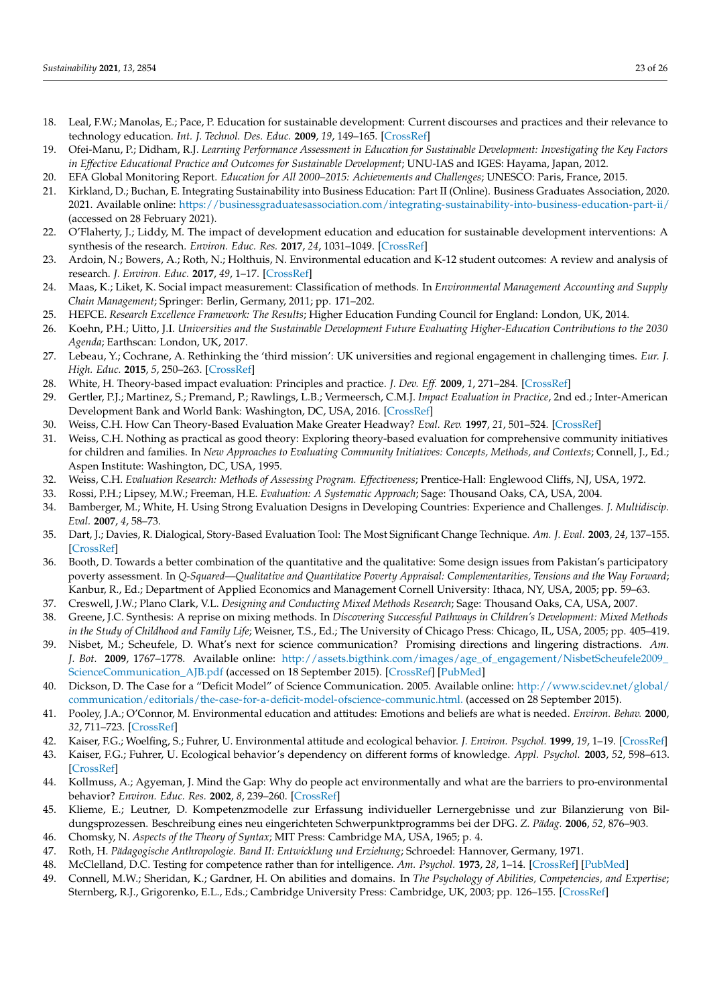- <span id="page-22-0"></span>18. Leal, F.W.; Manolas, E.; Pace, P. Education for sustainable development: Current discourses and practices and their relevance to technology education. *Int. J. Technol. Des. Educ.* **2009**, *19*, 149–165. [\[CrossRef\]](http://doi.org/10.1007/s10798-008-9079-z)
- <span id="page-22-1"></span>19. Ofei-Manu, P.; Didham, R.J. *Learning Performance Assessment in Education for Sustainable Development: Investigating the Key Factors in Effective Educational Practice and Outcomes for Sustainable Development*; UNU-IAS and IGES: Hayama, Japan, 2012.
- <span id="page-22-2"></span>20. EFA Global Monitoring Report. *Education for All 2000–2015: Achievements and Challenges*; UNESCO: Paris, France, 2015.
- <span id="page-22-3"></span>21. Kirkland, D.; Buchan, E. Integrating Sustainability into Business Education: Part II (Online). Business Graduates Association, 2020. 2021. Available online: <https://businessgraduatesassociation.com/integrating-sustainability-into-business-education-part-ii/> (accessed on 28 February 2021).
- <span id="page-22-4"></span>22. O'Flaherty, J.; Liddy, M. The impact of development education and education for sustainable development interventions: A synthesis of the research. *Environ. Educ. Res.* **2017**, *24*, 1031–1049. [\[CrossRef\]](http://doi.org/10.1080/13504622.2017.1392484)
- <span id="page-22-5"></span>23. Ardoin, N.; Bowers, A.; Roth, N.; Holthuis, N. Environmental education and K-12 student outcomes: A review and analysis of research. *J. Environ. Educ.* **2017**, *49*, 1–17. [\[CrossRef\]](http://doi.org/10.1080/00958964.2017.1366155)
- <span id="page-22-6"></span>24. Maas, K.; Liket, K. Social impact measurement: Classification of methods. In *Environmental Management Accounting and Supply Chain Management*; Springer: Berlin, Germany, 2011; pp. 171–202.
- <span id="page-22-7"></span>25. HEFCE. *Research Excellence Framework: The Results*; Higher Education Funding Council for England: London, UK, 2014.
- <span id="page-22-8"></span>26. Koehn, P.H.; Uitto, J.I. *Universities and the Sustainable Development Future Evaluating Higher-Education Contributions to the 2030 Agenda*; Earthscan: London, UK, 2017.
- <span id="page-22-9"></span>27. Lebeau, Y.; Cochrane, A. Rethinking the 'third mission': UK universities and regional engagement in challenging times. *Eur. J. High. Educ.* **2015**, *5*, 250–263. [\[CrossRef\]](http://doi.org/10.1080/21568235.2015.1044545)
- <span id="page-22-10"></span>28. White, H. Theory-based impact evaluation: Principles and practice. *J. Dev. Eff.* **2009**, *1*, 271–284. [\[CrossRef\]](http://doi.org/10.1080/19439340903114628)
- <span id="page-22-11"></span>29. Gertler, P.J.; Martinez, S.; Premand, P.; Rawlings, L.B.; Vermeersch, C.M.J. *Impact Evaluation in Practice*, 2nd ed.; Inter-American Development Bank and World Bank: Washington, DC, USA, 2016. [\[CrossRef\]](http://doi.org/10.1596/978-1-4648-0779-4)
- <span id="page-22-12"></span>30. Weiss, C.H. How Can Theory-Based Evaluation Make Greater Headway? *Eval. Rev.* **1997**, *21*, 501–524. [\[CrossRef\]](http://doi.org/10.1177/0193841X9702100405)
- 31. Weiss, C.H. Nothing as practical as good theory: Exploring theory-based evaluation for comprehensive community initiatives for children and families. In *New Approaches to Evaluating Community Initiatives: Concepts, Methods, and Contexts*; Connell, J., Ed.; Aspen Institute: Washington, DC, USA, 1995.
- <span id="page-22-13"></span>32. Weiss, C.H. *Evaluation Research: Methods of Assessing Program. Effectiveness*; Prentice-Hall: Englewood Cliffs, NJ, USA, 1972.
- <span id="page-22-14"></span>33. Rossi, P.H.; Lipsey, M.W.; Freeman, H.E. *Evaluation: A Systematic Approach*; Sage: Thousand Oaks, CA, USA, 2004.
- <span id="page-22-15"></span>34. Bamberger, M.; White, H. Using Strong Evaluation Designs in Developing Countries: Experience and Challenges. *J. Multidiscip. Eval.* **2007**, *4*, 58–73.
- <span id="page-22-16"></span>35. Dart, J.; Davies, R. Dialogical, Story-Based Evaluation Tool: The Most Significant Change Technique. *Am. J. Eval.* **2003**, *24*, 137–155. [\[CrossRef\]](http://doi.org/10.1177/109821400302400202)
- <span id="page-22-17"></span>36. Booth, D. Towards a better combination of the quantitative and the qualitative: Some design issues from Pakistan's participatory poverty assessment. In *Q-Squared—Qualitative and Quantitative Poverty Appraisal: Complementarities, Tensions and the Way Forward*; Kanbur, R., Ed.; Department of Applied Economics and Management Cornell University: Ithaca, NY, USA, 2005; pp. 59–63.
- 37. Creswell, J.W.; Plano Clark, V.L. *Designing and Conducting Mixed Methods Research*; Sage: Thousand Oaks, CA, USA, 2007.
- <span id="page-22-18"></span>38. Greene, J.C. Synthesis: A reprise on mixing methods. In *Discovering Successful Pathways in Children's Development: Mixed Methods in the Study of Childhood and Family Life*; Weisner, T.S., Ed.; The University of Chicago Press: Chicago, IL, USA, 2005; pp. 405–419.
- <span id="page-22-19"></span>39. Nisbet, M.; Scheufele, D. What's next for science communication? Promising directions and lingering distractions. *Am. J. Bot.* **2009**, 1767–1778. Available online: [http://assets.bigthink.com/images/age\\_of\\_engagement/NisbetScheufele2009\\_](http://assets.bigthink.com/images/age_of_engagement/NisbetScheufele2009_ScienceCommunication_AJB.pdf) [ScienceCommunication\\_AJB.pdf](http://assets.bigthink.com/images/age_of_engagement/NisbetScheufele2009_ScienceCommunication_AJB.pdf) (accessed on 18 September 2015). [\[CrossRef\]](http://doi.org/10.3732/ajb.0900041) [\[PubMed\]](http://www.ncbi.nlm.nih.gov/pubmed/21622297)
- <span id="page-22-20"></span>40. Dickson, D. The Case for a "Deficit Model" of Science Communication. 2005. Available online: [http://www.scidev.net/global/](http://www.scidev.net/global/communication/editorials/the-case-for-a-deficit-model-ofscience-communic.html.) [communication/editorials/the-case-for-a-deficit-model-ofscience-communic.html.](http://www.scidev.net/global/communication/editorials/the-case-for-a-deficit-model-ofscience-communic.html.) (accessed on 28 September 2015).
- <span id="page-22-21"></span>41. Pooley, J.A.; O'Connor, M. Environmental education and attitudes: Emotions and beliefs are what is needed. *Environ. Behav.* **2000**, *32*, 711–723. [\[CrossRef\]](http://doi.org/10.1177/0013916500325007)
- <span id="page-22-22"></span>42. Kaiser, F.G.; Woelfing, S.; Fuhrer, U. Environmental attitude and ecological behavior. *J. Environ. Psychol.* **1999**, *19*, 1–19. [\[CrossRef\]](http://doi.org/10.1006/jevp.1998.0107)
- 43. Kaiser, F.G.; Fuhrer, U. Ecological behavior's dependency on different forms of knowledge. *Appl. Psychol.* **2003**, *52*, 598–613. [\[CrossRef\]](http://doi.org/10.1111/1464-0597.00153)
- <span id="page-22-23"></span>44. Kollmuss, A.; Agyeman, J. Mind the Gap: Why do people act environmentally and what are the barriers to pro-environmental behavior? *Environ. Educ. Res.* **2002**, *8*, 239–260. [\[CrossRef\]](http://doi.org/10.1080/13504620220145401)
- <span id="page-22-24"></span>45. Klieme, E.; Leutner, D. Kompetenzmodelle zur Erfassung individueller Lernergebnisse und zur Bilanzierung von Bildungsprozessen. Beschreibung eines neu eingerichteten Schwerpunktprogramms bei der DFG. *Z. Pädag.* **2006**, *52*, 876–903.
- <span id="page-22-25"></span>46. Chomsky, N. *Aspects of the Theory of Syntax*; MIT Press: Cambridge MA, USA, 1965; p. 4.
- <span id="page-22-26"></span>47. Roth, H. *Pädagogische Anthropologie. Band II: Entwicklung und Erziehung*; Schroedel: Hannover, Germany, 1971.
- <span id="page-22-27"></span>48. McClelland, D.C. Testing for competence rather than for intelligence. *Am. Psychol.* **1973**, *28*, 1–14. [\[CrossRef\]](http://doi.org/10.1037/h0034092) [\[PubMed\]](http://www.ncbi.nlm.nih.gov/pubmed/4684069)
- <span id="page-22-28"></span>49. Connell, M.W.; Sheridan, K.; Gardner, H. On abilities and domains. In *The Psychology of Abilities, Competencies, and Expertise*; Sternberg, R.J., Grigorenko, E.L., Eds.; Cambridge University Press: Cambridge, UK, 2003; pp. 126–155. [\[CrossRef\]](http://doi.org/10.1017/CBO9780511615801.007)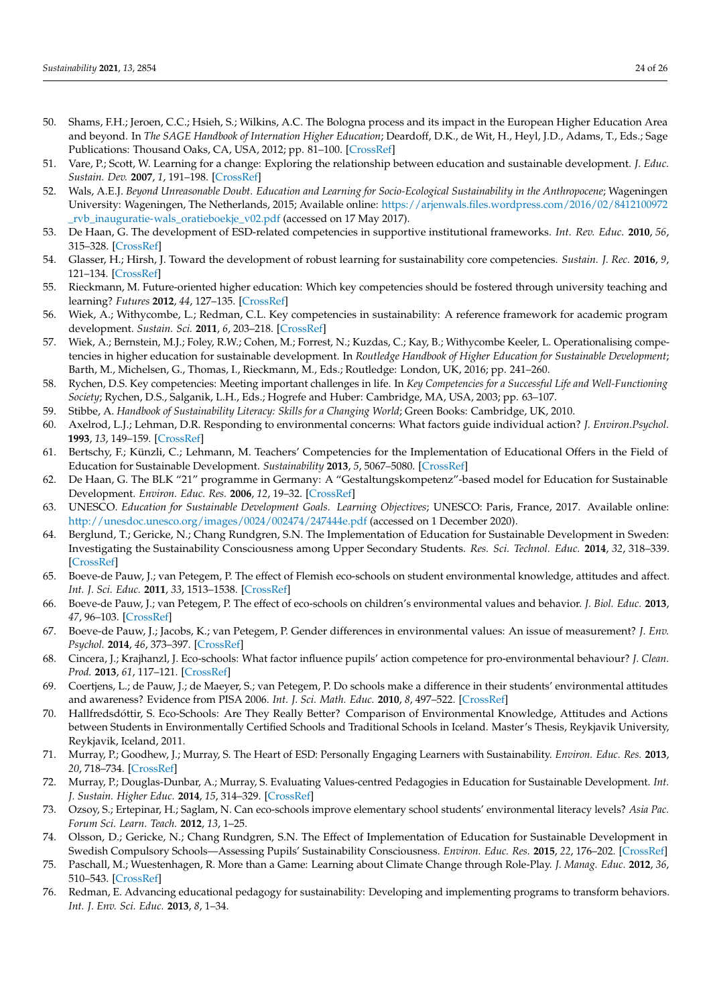- <span id="page-23-0"></span>50. Shams, F.H.; Jeroen, C.C.; Hsieh, S.; Wilkins, A.C. The Bologna process and its impact in the European Higher Education Area and beyond. In *The SAGE Handbook of Internation Higher Education*; Deardoff, D.K., de Wit, H., Heyl, J.D., Adams, T., Eds.; Sage Publications: Thousand Oaks, CA, USA, 2012; pp. 81–100. [\[CrossRef\]](http://doi.org/10.4135/9781452218397)
- <span id="page-23-1"></span>51. Vare, P.; Scott, W. Learning for a change: Exploring the relationship between education and sustainable development. *J. Educ. Sustain. Dev.* **2007**, *1*, 191–198. [\[CrossRef\]](http://doi.org/10.1177/097340820700100209)
- <span id="page-23-2"></span>52. Wals, A.E.J. *Beyond Unreasonable Doubt. Education and Learning for Socio-Ecological Sustainability in the Anthropocene*; Wageningen University: Wageningen, The Netherlands, 2015; Available online: [https://arjenwals.files.wordpress.com/2016/02/8412100972](https://arjenwals.files.wordpress.com/2016/02/8412100972_rvb_inauguratie-wals_oratieboekje_v02.pdf) [\\_rvb\\_inauguratie-wals\\_oratieboekje\\_v02.pdf](https://arjenwals.files.wordpress.com/2016/02/8412100972_rvb_inauguratie-wals_oratieboekje_v02.pdf) (accessed on 17 May 2017).
- <span id="page-23-3"></span>53. De Haan, G. The development of ESD-related competencies in supportive institutional frameworks. *Int. Rev. Educ.* **2010**, *56*, 315–328. [\[CrossRef\]](http://doi.org/10.1007/s11159-010-9157-9)
- <span id="page-23-4"></span>54. Glasser, H.; Hirsh, J. Toward the development of robust learning for sustainability core competencies. *Sustain. J. Rec.* **2016**, *9*, 121–134. [\[CrossRef\]](http://doi.org/10.1089/SUS.2016.29054.hg)
- <span id="page-23-5"></span>55. Rieckmann, M. Future-oriented higher education: Which key competencies should be fostered through university teaching and learning? *Futures* **2012**, *44*, 127–135. [\[CrossRef\]](http://doi.org/10.1016/j.futures.2011.09.005)
- <span id="page-23-6"></span>56. Wiek, A.; Withycombe, L.; Redman, C.L. Key competencies in sustainability: A reference framework for academic program development. *Sustain. Sci.* **2011**, *6*, 203–218. [\[CrossRef\]](http://doi.org/10.1007/s11625-011-0132-6)
- <span id="page-23-7"></span>57. Wiek, A.; Bernstein, M.J.; Foley, R.W.; Cohen, M.; Forrest, N.; Kuzdas, C.; Kay, B.; Withycombe Keeler, L. Operationalising competencies in higher education for sustainable development. In *Routledge Handbook of Higher Education for Sustainable Development*; Barth, M., Michelsen, G., Thomas, I., Rieckmann, M., Eds.; Routledge: London, UK, 2016; pp. 241–260.
- <span id="page-23-8"></span>58. Rychen, D.S. Key competencies: Meeting important challenges in life. In *Key Competencies for a Successful Life and Well-Functioning Society*; Rychen, D.S., Salganik, L.H., Eds.; Hogrefe and Huber: Cambridge, MA, USA, 2003; pp. 63–107.
- <span id="page-23-9"></span>59. Stibbe, A. *Handbook of Sustainability Literacy: Skills for a Changing World*; Green Books: Cambridge, UK, 2010.
- <span id="page-23-10"></span>60. Axelrod, L.J.; Lehman, D.R. Responding to environmental concerns: What factors guide individual action? *J. Environ.Psychol.* **1993**, *13*, 149–159. [\[CrossRef\]](http://doi.org/10.1016/S0272-4944(05)80147-1)
- <span id="page-23-11"></span>61. Bertschy, F.; Künzli, C.; Lehmann, M. Teachers' Competencies for the Implementation of Educational Offers in the Field of Education for Sustainable Development. *Sustainability* **2013**, *5*, 5067–5080. [\[CrossRef\]](http://doi.org/10.3390/su5125067)
- <span id="page-23-12"></span>62. De Haan, G. The BLK "21" programme in Germany: A "Gestaltungskompetenz"-based model for Education for Sustainable Development. *Environ. Educ. Res.* **2006**, *12*, 19–32. [\[CrossRef\]](http://doi.org/10.1080/13504620500526362)
- <span id="page-23-13"></span>63. UNESCO. *Education for Sustainable Development Goals. Learning Objectives*; UNESCO: Paris, France, 2017. Available online: <http://unesdoc.unesco.org/images/0024/002474/247444e.pdf> (accessed on 1 December 2020).
- <span id="page-23-14"></span>64. Berglund, T.; Gericke, N.; Chang Rundgren, S.N. The Implementation of Education for Sustainable Development in Sweden: Investigating the Sustainability Consciousness among Upper Secondary Students. *Res. Sci. Technol. Educ.* **2014**, *32*, 318–339. [\[CrossRef\]](http://doi.org/10.1080/02635143.2014.944493)
- 65. Boeve-de Pauw, J.; van Petegem, P. The effect of Flemish eco-schools on student environmental knowledge, attitudes and affect. *Int. J. Sci. Educ.* **2011**, *33*, 1513–1538. [\[CrossRef\]](http://doi.org/10.1080/09500693.2010.540725)
- <span id="page-23-22"></span>66. Boeve-de Pauw, J.; van Petegem, P. The effect of eco-schools on children's environmental values and behavior. *J. Biol. Educ.* **2013**, *47*, 96–103. [\[CrossRef\]](http://doi.org/10.1080/00219266.2013.764342)
- 67. Boeve-de Pauw, J.; Jacobs, K.; van Petegem, P. Gender differences in environmental values: An issue of measurement? *J. Env. Psychol.* **2014**, *46*, 373–397. [\[CrossRef\]](http://doi.org/10.1177/0013916512460761)
- <span id="page-23-21"></span>68. Cincera, J.; Krajhanzl, J. Eco-schools: What factor influence pupils' action competence for pro-environmental behaviour? *J. Clean. Prod.* **2013**, *61*, 117–121. [\[CrossRef\]](http://doi.org/10.1016/j.jclepro.2013.06.030)
- <span id="page-23-18"></span>69. Coertjens, L.; de Pauw, J.; de Maeyer, S.; van Petegem, P. Do schools make a difference in their students' environmental attitudes and awareness? Evidence from PISA 2006. *Int. J. Sci. Math. Educ.* **2010**, *8*, 497–522. [\[CrossRef\]](http://doi.org/10.1007/s10763-010-9200-0)
- <span id="page-23-23"></span>70. Hallfredsdóttir, S. Eco-Schools: Are They Really Better? Comparison of Environmental Knowledge, Attitudes and Actions between Students in Environmentally Certified Schools and Traditional Schools in Iceland. Master's Thesis, Reykjavik University, Reykjavik, Iceland, 2011.
- <span id="page-23-17"></span>71. Murray, P.; Goodhew, J.; Murray, S. The Heart of ESD: Personally Engaging Learners with Sustainability. *Environ. Educ. Res.* **2013**, *20*, 718–734. [\[CrossRef\]](http://doi.org/10.1080/13504622.2013.836623)
- 72. Murray, P.; Douglas-Dunbar, A.; Murray, S. Evaluating Values-centred Pedagogies in Education for Sustainable Development. *Int. J. Sustain. Higher Educ.* **2014**, *15*, 314–329. [\[CrossRef\]](http://doi.org/10.1108/IJSHE-03-2012-0021)
- <span id="page-23-19"></span>73. Ozsoy, S.; Ertepinar, H.; Saglam, N. Can eco-schools improve elementary school students' environmental literacy levels? *Asia Pac. Forum Sci. Learn. Teach.* **2012**, *13*, 1–25.
- <span id="page-23-20"></span>74. Olsson, D.; Gericke, N.; Chang Rundgren, S.N. The Effect of Implementation of Education for Sustainable Development in Swedish Compulsory Schools—Assessing Pupils' Sustainability Consciousness. *Environ. Educ. Res.* **2015**, *22*, 176–202. [\[CrossRef\]](http://doi.org/10.1080/13504622.2015.1005057)
- <span id="page-23-16"></span>75. Paschall, M.; Wuestenhagen, R. More than a Game: Learning about Climate Change through Role-Play. *J. Manag. Educ.* **2012**, *36*, 510–543. [\[CrossRef\]](http://doi.org/10.1177/1052562911411156)
- <span id="page-23-15"></span>76. Redman, E. Advancing educational pedagogy for sustainability: Developing and implementing programs to transform behaviors. *Int. J. Env. Sci. Educ.* **2013**, *8*, 1–34.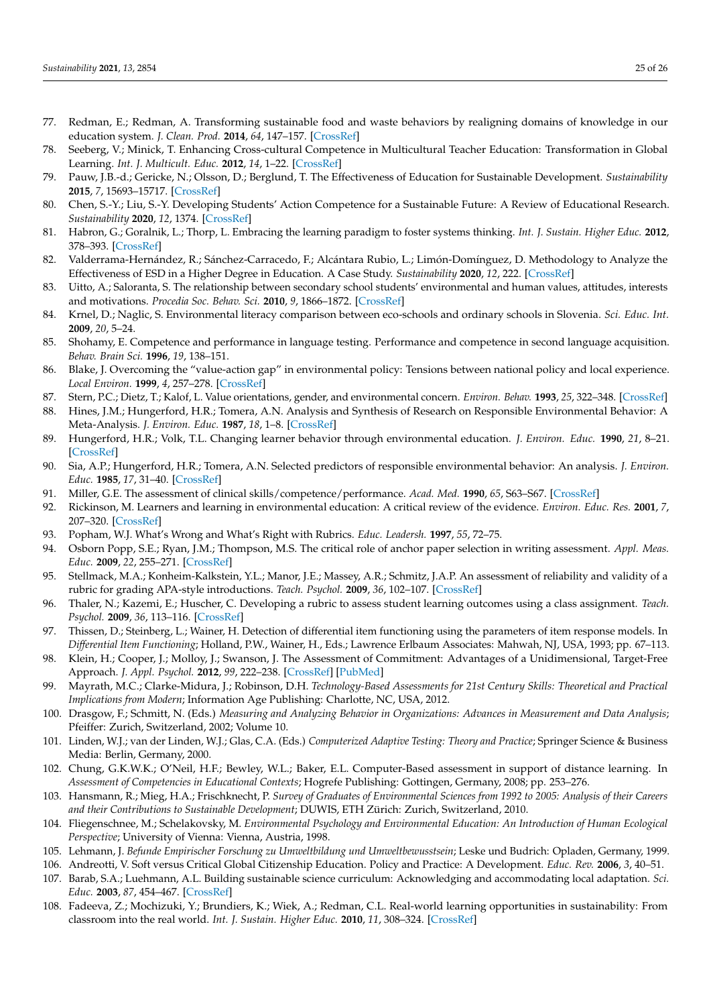- 77. Redman, E.; Redman, A. Transforming sustainable food and waste behaviors by realigning domains of knowledge in our education system. *J. Clean. Prod.* **2014**, *64*, 147–157. [\[CrossRef\]](http://doi.org/10.1016/j.jclepro.2013.09.016)
- <span id="page-24-18"></span>78. Seeberg, V.; Minick, T. Enhancing Cross-cultural Competence in Multicultural Teacher Education: Transformation in Global Learning. *Int. J. Multicult. Educ.* **2012**, *14*, 1–22. [\[CrossRef\]](http://doi.org/10.18251/ijme.v14i3.569)
- <span id="page-24-23"></span>79. Pauw, J.B.-d.; Gericke, N.; Olsson, D.; Berglund, T. The Effectiveness of Education for Sustainable Development. *Sustainability* **2015**, *7*, 15693–15717. [\[CrossRef\]](http://doi.org/10.3390/su71115693)
- 80. Chen, S.-Y.; Liu, S.-Y. Developing Students' Action Competence for a Sustainable Future: A Review of Educational Research. *Sustainability* **2020**, *12*, 1374. [\[CrossRef\]](http://doi.org/10.3390/su12041374)
- <span id="page-24-8"></span>81. Habron, G.; Goralnik, L.; Thorp, L. Embracing the learning paradigm to foster systems thinking. *Int. J. Sustain. Higher Educ.* **2012**, 378–393. [\[CrossRef\]](http://doi.org/10.1108/14676371211262326)
- <span id="page-24-7"></span>82. Valderrama-Hernández, R.; Sánchez-Carracedo, F.; Alcántara Rubio, L.; Limón-Domínguez, D. Methodology to Analyze the Effectiveness of ESD in a Higher Degree in Education. A Case Study. *Sustainability* **2020**, *12*, 222. [\[CrossRef\]](http://doi.org/10.3390/su12010222)
- <span id="page-24-24"></span>83. Uitto, A.; Saloranta, S. The relationship between secondary school students' environmental and human values, attitudes, interests and motivations. *Procedia Soc. Behav. Sci.* **2010**, *9*, 1866–1872. [\[CrossRef\]](http://doi.org/10.1016/j.sbspro.2010.12.415)
- <span id="page-24-0"></span>84. Krnel, D.; Naglic, S. Environmental literacy comparison between eco-schools and ordinary schools in Slovenia. *Sci. Educ. Int.* **2009**, *20*, 5–24.
- <span id="page-24-1"></span>85. Shohamy, E. Competence and performance in language testing. Performance and competence in second language acquisition. *Behav. Brain Sci.* **1996**, *19*, 138–151.
- <span id="page-24-2"></span>86. Blake, J. Overcoming the "value-action gap" in environmental policy: Tensions between national policy and local experience. *Local Environ.* **1999**, *4*, 257–278. [\[CrossRef\]](http://doi.org/10.1080/13549839908725599)
- <span id="page-24-3"></span>87. Stern, P.C.; Dietz, T.; Kalof, L. Value orientations, gender, and environmental concern. *Environ. Behav.* **1993**, *25*, 322–348. [\[CrossRef\]](http://doi.org/10.1177/0013916593255002)
- 88. Hines, J.M.; Hungerford, H.R.; Tomera, A.N. Analysis and Synthesis of Research on Responsible Environmental Behavior: A Meta-Analysis. *J. Environ. Educ.* **1987**, *18*, 1–8. [\[CrossRef\]](http://doi.org/10.1080/00958964.1987.9943482)
- 89. Hungerford, H.R.; Volk, T.L. Changing learner behavior through environmental education. *J. Environ. Educ.* **1990**, *21*, 8–21. [\[CrossRef\]](http://doi.org/10.1080/00958964.1990.10753743)
- <span id="page-24-4"></span>90. Sia, A.P.; Hungerford, H.R.; Tomera, A.N. Selected predictors of responsible environmental behavior: An analysis. *J. Environ. Educ.* **1985**, *17*, 31–40. [\[CrossRef\]](http://doi.org/10.1080/00958964.1986.9941408)
- <span id="page-24-5"></span>91. Miller, G.E. The assessment of clinical skills/competence/performance. *Acad. Med.* **1990**, *65*, S63–S67. [\[CrossRef\]](http://doi.org/10.1097/00001888-199009000-00045)
- <span id="page-24-6"></span>92. Rickinson, M. Learners and learning in environmental education: A critical review of the evidence. *Environ. Educ. Res.* **2001**, *7*, 207–320. [\[CrossRef\]](http://doi.org/10.1080/13504620120065230)
- <span id="page-24-9"></span>93. Popham, W.J. What's Wrong and What's Right with Rubrics. *Educ. Leadersh.* **1997**, *55*, 72–75.
- 94. Osborn Popp, S.E.; Ryan, J.M.; Thompson, M.S. The critical role of anchor paper selection in writing assessment. *Appl. Meas. Educ.* **2009**, *22*, 255–271. [\[CrossRef\]](http://doi.org/10.1080/08957340902984026)
- 95. Stellmack, M.A.; Konheim-Kalkstein, Y.L.; Manor, J.E.; Massey, A.R.; Schmitz, J.A.P. An assessment of reliability and validity of a rubric for grading APA-style introductions. *Teach. Psychol.* **2009**, *36*, 102–107. [\[CrossRef\]](http://doi.org/10.1080/00986280902739776)
- <span id="page-24-10"></span>96. Thaler, N.; Kazemi, E.; Huscher, C. Developing a rubric to assess student learning outcomes using a class assignment. *Teach. Psychol.* **2009**, *36*, 113–116. [\[CrossRef\]](http://doi.org/10.1080/00986280902739305)
- <span id="page-24-11"></span>97. Thissen, D.; Steinberg, L.; Wainer, H. Detection of differential item functioning using the parameters of item response models. In *Differential Item Functioning*; Holland, P.W., Wainer, H., Eds.; Lawrence Erlbaum Associates: Mahwah, NJ, USA, 1993; pp. 67–113.
- <span id="page-24-12"></span>98. Klein, H.; Cooper, J.; Molloy, J.; Swanson, J. The Assessment of Commitment: Advantages of a Unidimensional, Target-Free Approach. *J. Appl. Psychol.* **2012**, *99*, 222–238. [\[CrossRef\]](http://doi.org/10.1037/a0034751) [\[PubMed\]](http://www.ncbi.nlm.nih.gov/pubmed/24188389)
- <span id="page-24-13"></span>99. Mayrath, M.C.; Clarke-Midura, J.; Robinson, D.H. *Technology-Based Assessments for 21st Century Skills: Theoretical and Practical Implications from Modern*; Information Age Publishing: Charlotte, NC, USA, 2012.
- <span id="page-24-14"></span>100. Drasgow, F.; Schmitt, N. (Eds.) *Measuring and Analyzing Behavior in Organizations: Advances in Measurement and Data Analysis*; Pfeiffer: Zurich, Switzerland, 2002; Volume 10.
- <span id="page-24-15"></span>101. Linden, W.J.; van der Linden, W.J.; Glas, C.A. (Eds.) *Computerized Adaptive Testing: Theory and Practice*; Springer Science & Business Media: Berlin, Germany, 2000.
- <span id="page-24-16"></span>102. Chung, G.K.W.K.; O'Neil, H.F.; Bewley, W.L.; Baker, E.L. Computer-Based assessment in support of distance learning. In *Assessment of Competencies in Educational Contexts*; Hogrefe Publishing: Gottingen, Germany, 2008; pp. 253–276.
- <span id="page-24-17"></span>103. Hansmann, R.; Mieg, H.A.; Frischknecht, P. *Survey of Graduates of Environmental Sciences from 1992 to 2005: Analysis of their Careers and their Contributions to Sustainable Development*; DUWIS, ETH Zürich: Zurich, Switzerland, 2010.
- <span id="page-24-19"></span>104. Fliegenschnee, M.; Schelakovsky, M. *Environmental Psychology and Environmental Education: An Introduction of Human Ecological Perspective*; University of Vienna: Vienna, Austria, 1998.
- <span id="page-24-20"></span>105. Lehmann, J. *Befunde Empirischer Forschung zu Umweltbildung und Umweltbewusstsein*; Leske und Budrich: Opladen, Germany, 1999.
- <span id="page-24-21"></span>106. Andreotti, V. Soft versus Critical Global Citizenship Education. Policy and Practice: A Development. *Educ. Rev.* **2006**, *3*, 40–51.
- <span id="page-24-22"></span>107. Barab, S.A.; Luehmann, A.L. Building sustainable science curriculum: Acknowledging and accommodating local adaptation. *Sci. Educ.* **2003**, *87*, 454–467. [\[CrossRef\]](http://doi.org/10.1002/sce.10083)
- 108. Fadeeva, Z.; Mochizuki, Y.; Brundiers, K.; Wiek, A.; Redman, C.L. Real-world learning opportunities in sustainability: From classroom into the real world. *Int. J. Sustain. Higher Educ.* **2010**, *11*, 308–324. [\[CrossRef\]](http://doi.org/10.1108/14676371011077540)